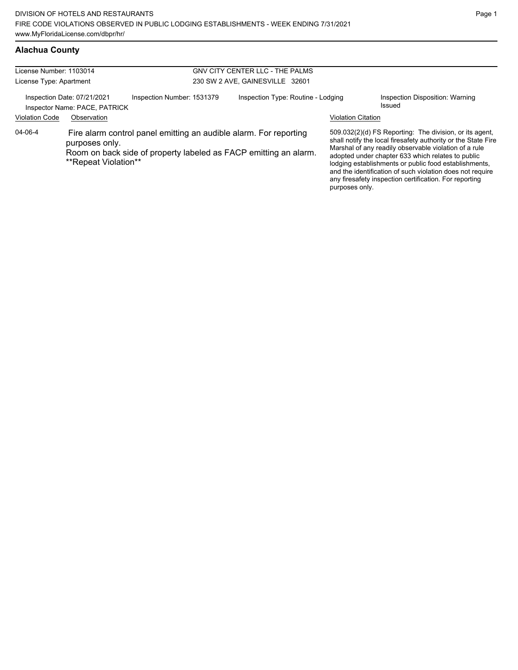| License Number: 1103014 |                                                                                                                                                                                 |                            |  | GNV CITY CENTER LLC - THE PALMS    |                |                                                                                                                                                                                                                                                                                                                                                                                                                        |                                           |  |  |
|-------------------------|---------------------------------------------------------------------------------------------------------------------------------------------------------------------------------|----------------------------|--|------------------------------------|----------------|------------------------------------------------------------------------------------------------------------------------------------------------------------------------------------------------------------------------------------------------------------------------------------------------------------------------------------------------------------------------------------------------------------------------|-------------------------------------------|--|--|
| License Type: Apartment |                                                                                                                                                                                 |                            |  | 230 SW 2 AVE, GAINESVILLE 32601    |                |                                                                                                                                                                                                                                                                                                                                                                                                                        |                                           |  |  |
|                         | Inspection Date: 07/21/2021<br>Inspector Name: PACE, PATRICK                                                                                                                    | Inspection Number: 1531379 |  | Inspection Type: Routine - Lodging |                |                                                                                                                                                                                                                                                                                                                                                                                                                        | Inspection Disposition: Warning<br>Issued |  |  |
| <b>Violation Code</b>   | Observation                                                                                                                                                                     |                            |  |                                    |                | <b>Violation Citation</b>                                                                                                                                                                                                                                                                                                                                                                                              |                                           |  |  |
| $04 - 06 - 4$           | Fire alarm control panel emitting an audible alarm. For reporting<br>purposes only.<br>Room on back side of property labeled as FACP emitting an alarm.<br>**Repeat Violation** |                            |  |                                    | purposes only. | 509.032(2)(d) FS Reporting: The division, or its agent,<br>shall notify the local firesafety authority or the State Fire<br>Marshal of any readily observable violation of a rule<br>adopted under chapter 633 which relates to public<br>lodging establishments or public food establishments,<br>and the identification of such violation does not require<br>any firesafety inspection certification. For reporting |                                           |  |  |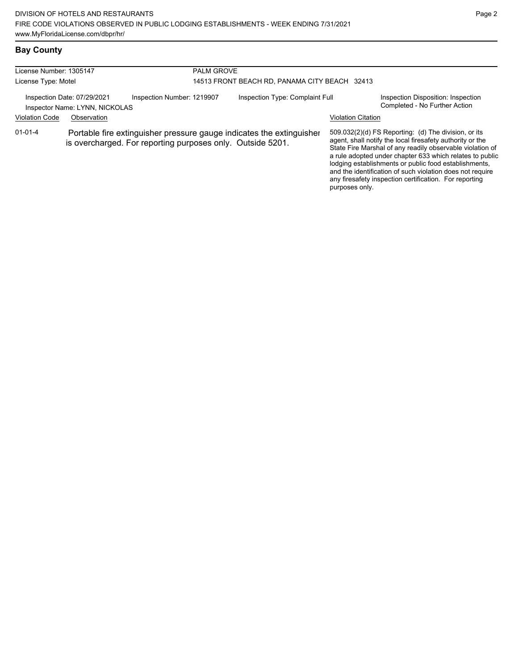| License Number: 1305147                                       |             |                                                                                                                                    | <b>PALM GROVE</b>                             |                           |                                                                                                                                                                                                                                                                                                                                                                                                                            |  |  |
|---------------------------------------------------------------|-------------|------------------------------------------------------------------------------------------------------------------------------------|-----------------------------------------------|---------------------------|----------------------------------------------------------------------------------------------------------------------------------------------------------------------------------------------------------------------------------------------------------------------------------------------------------------------------------------------------------------------------------------------------------------------------|--|--|
| License Type: Motel                                           |             |                                                                                                                                    | 14513 FRONT BEACH RD, PANAMA CITY BEACH 32413 |                           |                                                                                                                                                                                                                                                                                                                                                                                                                            |  |  |
| Inspection Date: 07/29/2021<br>Inspector Name: LYNN, NICKOLAS |             | Inspection Number: 1219907                                                                                                         | Inspection Type: Complaint Full               |                           | Inspection Disposition: Inspection<br>Completed - No Further Action                                                                                                                                                                                                                                                                                                                                                        |  |  |
| <b>Violation Code</b>                                         | Observation |                                                                                                                                    |                                               | <b>Violation Citation</b> |                                                                                                                                                                                                                                                                                                                                                                                                                            |  |  |
| $01 - 01 - 4$                                                 |             | Portable fire extinguisher pressure gauge indicates the extinguisher<br>is overcharged. For reporting purposes only. Outside 5201. |                                               | purposes only.            | 509.032(2)(d) FS Reporting: (d) The division, or its<br>agent, shall notify the local firesafety authority or the<br>State Fire Marshal of any readily observable violation of<br>a rule adopted under chapter 633 which relates to public<br>lodging establishments or public food establishments,<br>and the identification of such violation does not require<br>any firesafety inspection certification. For reporting |  |  |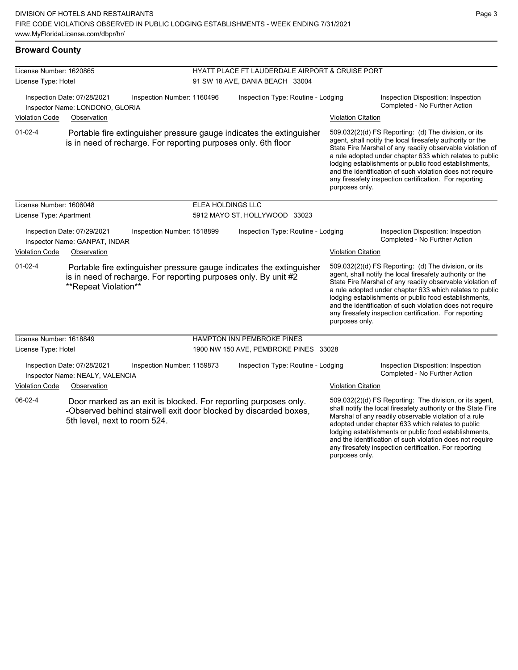| <b>Broward County</b> |  |
|-----------------------|--|
|-----------------------|--|

| License Number: 1620865<br>License Type: Hotel |                                                                |                                                                 | HYATT PLACE FT LAUDERDALE AIRPORT & CRUISE PORT<br>91 SW 18 AVE, DANIA BEACH 33004 |                                                                                                                                     |                                                                     |                                                                                                                                                                                                                                                                                                                                                                                                                            |  |
|------------------------------------------------|----------------------------------------------------------------|-----------------------------------------------------------------|------------------------------------------------------------------------------------|-------------------------------------------------------------------------------------------------------------------------------------|---------------------------------------------------------------------|----------------------------------------------------------------------------------------------------------------------------------------------------------------------------------------------------------------------------------------------------------------------------------------------------------------------------------------------------------------------------------------------------------------------------|--|
|                                                | Inspection Date: 07/28/2021<br>Inspector Name: LONDONO, GLORIA | Inspection Number: 1160496                                      |                                                                                    | Inspection Type: Routine - Lodging                                                                                                  | Inspection Disposition: Inspection<br>Completed - No Further Action |                                                                                                                                                                                                                                                                                                                                                                                                                            |  |
| <b>Violation Code</b>                          | Observation                                                    |                                                                 |                                                                                    |                                                                                                                                     | <b>Violation Citation</b>                                           |                                                                                                                                                                                                                                                                                                                                                                                                                            |  |
| $01-02-4$                                      |                                                                | is in need of recharge. For reporting purposes only. 6th floor  |                                                                                    | Portable fire extinguisher pressure gauge indicates the extinguisher                                                                | purposes only.                                                      | 509.032(2)(d) FS Reporting: (d) The division, or its<br>agent, shall notify the local firesafety authority or the<br>State Fire Marshal of any readily observable violation of<br>a rule adopted under chapter 633 which relates to public<br>lodging establishments or public food establishments,<br>and the identification of such violation does not require<br>any firesafety inspection certification. For reporting |  |
| License Number: 1606048                        |                                                                |                                                                 | ELEA HOLDINGS LLC                                                                  |                                                                                                                                     |                                                                     |                                                                                                                                                                                                                                                                                                                                                                                                                            |  |
| License Type: Apartment                        |                                                                |                                                                 |                                                                                    | 5912 MAYO ST, HOLLYWOOD 33023                                                                                                       |                                                                     |                                                                                                                                                                                                                                                                                                                                                                                                                            |  |
|                                                | Inspection Date: 07/29/2021<br>Inspector Name: GANPAT, INDAR   | Inspection Number: 1518899                                      |                                                                                    | Inspection Type: Routine - Lodging                                                                                                  |                                                                     | Inspection Disposition: Inspection<br>Completed - No Further Action                                                                                                                                                                                                                                                                                                                                                        |  |
| <b>Violation Code</b>                          | Observation                                                    |                                                                 |                                                                                    |                                                                                                                                     | <b>Violation Citation</b>                                           |                                                                                                                                                                                                                                                                                                                                                                                                                            |  |
| $01 - 02 - 4$                                  | **Repeat Violation**                                           | is in need of recharge. For reporting purposes only. By unit #2 |                                                                                    | Portable fire extinguisher pressure gauge indicates the extinguisher                                                                | purposes only.                                                      | 509.032(2)(d) FS Reporting: (d) The division, or its<br>agent, shall notify the local firesafety authority or the<br>State Fire Marshal of any readily observable violation of<br>a rule adopted under chapter 633 which relates to public<br>lodging establishments or public food establishments,<br>and the identification of such violation does not require<br>any firesafety inspection certification. For reporting |  |
| License Number: 1618849                        |                                                                |                                                                 |                                                                                    | <b>HAMPTON INN PEMBROKE PINES</b>                                                                                                   |                                                                     |                                                                                                                                                                                                                                                                                                                                                                                                                            |  |
| License Type: Hotel                            |                                                                |                                                                 |                                                                                    | 1900 NW 150 AVE, PEMBROKE PINES 33028                                                                                               |                                                                     |                                                                                                                                                                                                                                                                                                                                                                                                                            |  |
|                                                | Inspection Date: 07/28/2021<br>Inspector Name: NEALY, VALENCIA | Inspection Number: 1159873                                      |                                                                                    | Inspection Type: Routine - Lodging                                                                                                  |                                                                     | Inspection Disposition: Inspection<br>Completed - No Further Action                                                                                                                                                                                                                                                                                                                                                        |  |
| <b>Violation Code</b>                          | Observation                                                    |                                                                 |                                                                                    |                                                                                                                                     | <b>Violation Citation</b>                                           |                                                                                                                                                                                                                                                                                                                                                                                                                            |  |
| 06-02-4                                        | 5th level, next to room 524.                                   |                                                                 |                                                                                    | Door marked as an exit is blocked. For reporting purposes only.<br>-Observed behind stairwell exit door blocked by discarded boxes, |                                                                     | 509.032(2)(d) FS Reporting: The division, or its agent,<br>shall notify the local firesafety authority or the State Fire<br>Marshal of any readily observable violation of a rule<br>adopted under chapter 633 which relates to public<br>lodging establishments or public food establishments,<br>and the identification of such violation does not require                                                               |  |

any firesafety inspection certification. For reporting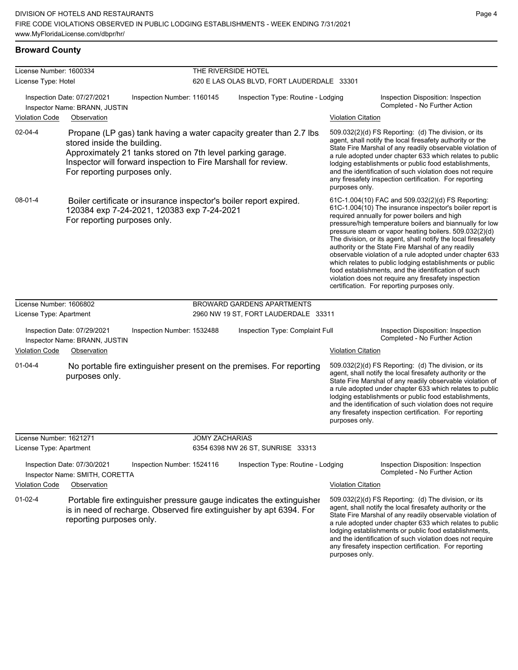| License Number: 1600334 |                                                               |                                                                                                                                                                                                    | THE RIVERSIDE HOTEL                        |                           |                                                                                                                                                                                                                                                                                                                                                                                                                                                                                                                                                                                                                                                                                                  |
|-------------------------|---------------------------------------------------------------|----------------------------------------------------------------------------------------------------------------------------------------------------------------------------------------------------|--------------------------------------------|---------------------------|--------------------------------------------------------------------------------------------------------------------------------------------------------------------------------------------------------------------------------------------------------------------------------------------------------------------------------------------------------------------------------------------------------------------------------------------------------------------------------------------------------------------------------------------------------------------------------------------------------------------------------------------------------------------------------------------------|
| License Type: Hotel     |                                                               |                                                                                                                                                                                                    | 620 E LAS OLAS BLVD, FORT LAUDERDALE 33301 |                           |                                                                                                                                                                                                                                                                                                                                                                                                                                                                                                                                                                                                                                                                                                  |
|                         | Inspection Date: 07/27/2021<br>Inspector Name: BRANN, JUSTIN  | Inspection Number: 1160145                                                                                                                                                                         | Inspection Type: Routine - Lodging         |                           | Inspection Disposition: Inspection<br>Completed - No Further Action                                                                                                                                                                                                                                                                                                                                                                                                                                                                                                                                                                                                                              |
| Violation Code          | Observation                                                   |                                                                                                                                                                                                    |                                            | <b>Violation Citation</b> |                                                                                                                                                                                                                                                                                                                                                                                                                                                                                                                                                                                                                                                                                                  |
| $02 - 04 - 4$           | stored inside the building.<br>For reporting purposes only.   | Propane (LP gas) tank having a water capacity greater than 2.7 lbs<br>Approximately 21 tanks stored on 7th level parking garage.<br>Inspector will forward inspection to Fire Marshall for review. |                                            | purposes only.            | 509.032(2)(d) FS Reporting: (d) The division, or its<br>agent, shall notify the local firesafety authority or the<br>State Fire Marshal of any readily observable violation of<br>a rule adopted under chapter 633 which relates to public<br>lodging establishments or public food establishments,<br>and the identification of such violation does not require<br>any firesafety inspection certification. For reporting                                                                                                                                                                                                                                                                       |
| $08 - 01 - 4$           | For reporting purposes only.                                  | Boiler certificate or insurance inspector's boiler report expired.<br>120384 exp 7-24-2021, 120383 exp 7-24-2021                                                                                   |                                            |                           | 61C-1.004(10) FAC and 509.032(2)(d) FS Reporting:<br>61C-1.004(10) The insurance inspector's boiler report is<br>required annually for power boilers and high<br>pressure/high temperature boilers and biannually for low<br>pressure steam or vapor heating boilers. 509.032(2)(d)<br>The division, or its agent, shall notify the local firesafety<br>authority or the State Fire Marshal of any readily<br>observable violation of a rule adopted under chapter 633<br>which relates to public lodging establishments or public<br>food establishments, and the identification of such<br>violation does not require any firesafety inspection<br>certification. For reporting purposes only. |
| License Number: 1606802 |                                                               |                                                                                                                                                                                                    | <b>BROWARD GARDENS APARTMENTS</b>          |                           |                                                                                                                                                                                                                                                                                                                                                                                                                                                                                                                                                                                                                                                                                                  |
| License Type: Apartment |                                                               |                                                                                                                                                                                                    | 2960 NW 19 ST, FORT LAUDERDALE 33311       |                           |                                                                                                                                                                                                                                                                                                                                                                                                                                                                                                                                                                                                                                                                                                  |
|                         | Inspection Date: 07/29/2021<br>Inspector Name: BRANN, JUSTIN  | Inspection Number: 1532488                                                                                                                                                                         | Inspection Type: Complaint Full            |                           | Inspection Disposition: Inspection<br>Completed - No Further Action                                                                                                                                                                                                                                                                                                                                                                                                                                                                                                                                                                                                                              |
| <b>Violation Code</b>   | Observation                                                   |                                                                                                                                                                                                    |                                            | <b>Violation Citation</b> |                                                                                                                                                                                                                                                                                                                                                                                                                                                                                                                                                                                                                                                                                                  |
| $01 - 04 - 4$           | purposes only.                                                | No portable fire extinguisher present on the premises. For reporting                                                                                                                               |                                            | purposes only.            | 509.032(2)(d) FS Reporting: (d) The division, or its<br>agent, shall notify the local firesafety authority or the<br>State Fire Marshal of any readily observable violation of<br>a rule adopted under chapter 633 which relates to public<br>lodging establishments or public food establishments,<br>and the identification of such violation does not require<br>any firesafety inspection certification. For reporting                                                                                                                                                                                                                                                                       |
| License Number: 1621271 |                                                               | <b>JOMY ZACHARIAS</b>                                                                                                                                                                              |                                            |                           |                                                                                                                                                                                                                                                                                                                                                                                                                                                                                                                                                                                                                                                                                                  |
| License Type: Apartment |                                                               |                                                                                                                                                                                                    | 6354 6398 NW 26 ST, SUNRISE 33313          |                           |                                                                                                                                                                                                                                                                                                                                                                                                                                                                                                                                                                                                                                                                                                  |
|                         | Inspection Date: 07/30/2021<br>Inspector Name: SMITH, CORETTA | Inspection Number: 1524116                                                                                                                                                                         | Inspection Type: Routine - Lodging         |                           | Inspection Disposition: Inspection<br>Completed - No Further Action                                                                                                                                                                                                                                                                                                                                                                                                                                                                                                                                                                                                                              |
| <b>Violation Code</b>   | Observation                                                   |                                                                                                                                                                                                    |                                            | <b>Violation Citation</b> |                                                                                                                                                                                                                                                                                                                                                                                                                                                                                                                                                                                                                                                                                                  |
| $01 - 02 - 4$           | reporting purposes only.                                      | Portable fire extinguisher pressure gauge indicates the extinguisher<br>is in need of recharge. Observed fire extinguisher by apt 6394. For                                                        |                                            |                           | 509.032(2)(d) FS Reporting: (d) The division, or its<br>agent, shall notify the local firesafety authority or the<br>State Fire Marshal of any readily observable violation of<br>a rule adopted under chapter 633 which relates to public<br>lodging establishments or public food establishments,<br>and the identification of such violation does not require                                                                                                                                                                                                                                                                                                                                 |

any firesafety inspection certification. For reporting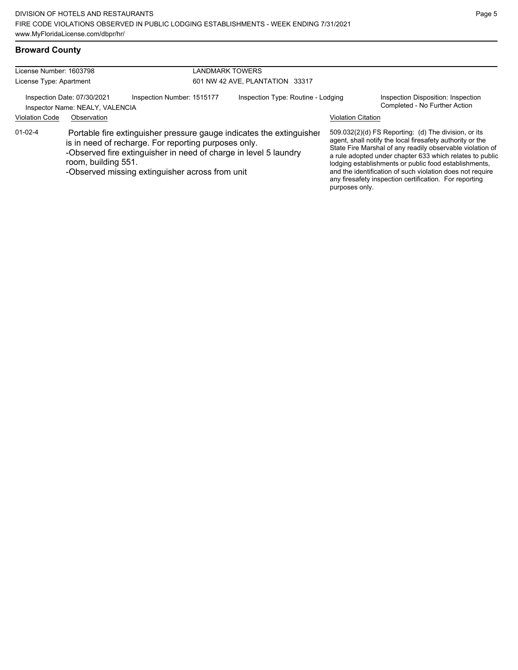| <b>Broward County</b> |  |
|-----------------------|--|
|-----------------------|--|

| License Number: 1603798                                        |                                                                                                                                                                                                                                                                            |                            | LANDMARK TOWERS                    |                           |                                                                                                                                                                                                                                                                                                                                                                                                                            |
|----------------------------------------------------------------|----------------------------------------------------------------------------------------------------------------------------------------------------------------------------------------------------------------------------------------------------------------------------|----------------------------|------------------------------------|---------------------------|----------------------------------------------------------------------------------------------------------------------------------------------------------------------------------------------------------------------------------------------------------------------------------------------------------------------------------------------------------------------------------------------------------------------------|
| License Type: Apartment                                        |                                                                                                                                                                                                                                                                            |                            | 601 NW 42 AVE, PLANTATION 33317    |                           |                                                                                                                                                                                                                                                                                                                                                                                                                            |
| Inspection Date: 07/30/2021<br>Inspector Name: NEALY, VALENCIA |                                                                                                                                                                                                                                                                            | Inspection Number: 1515177 | Inspection Type: Routine - Lodging |                           | Inspection Disposition: Inspection<br>Completed - No Further Action                                                                                                                                                                                                                                                                                                                                                        |
| <b>Violation Code</b>                                          | Observation                                                                                                                                                                                                                                                                |                            |                                    | <b>Violation Citation</b> |                                                                                                                                                                                                                                                                                                                                                                                                                            |
| $01 - 02 - 4$                                                  | Portable fire extinguisher pressure gauge indicates the extinguisher<br>is in need of recharge. For reporting purposes only.<br>-Observed fire extinguisher in need of charge in level 5 laundry<br>room, building 551.<br>-Observed missing extinguisher across from unit |                            |                                    | purposes only.            | 509.032(2)(d) FS Reporting: (d) The division, or its<br>agent, shall notify the local firesafety authority or the<br>State Fire Marshal of any readily observable violation of<br>a rule adopted under chapter 633 which relates to public<br>lodging establishments or public food establishments,<br>and the identification of such violation does not require<br>any firesafety inspection certification. For reporting |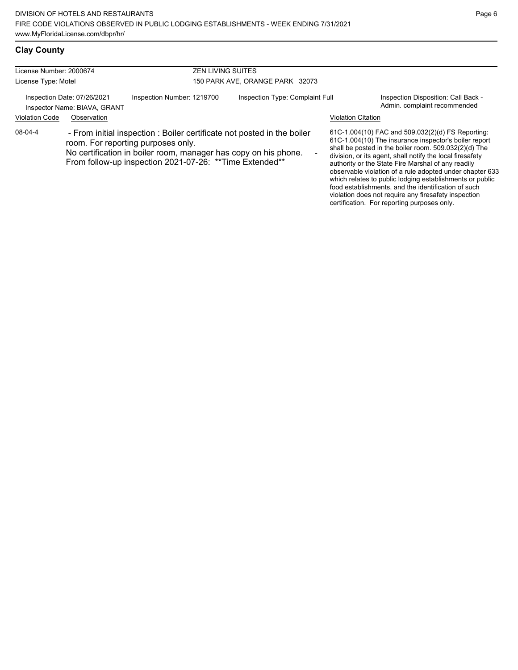| License Number: 2000674 |                                                             | <b>ZEN LIVING SUITES</b>                                                                                                                                                                                                                     |                                 |                           |                                                                                                                                                                                                                                                                                                                                                                                                                |
|-------------------------|-------------------------------------------------------------|----------------------------------------------------------------------------------------------------------------------------------------------------------------------------------------------------------------------------------------------|---------------------------------|---------------------------|----------------------------------------------------------------------------------------------------------------------------------------------------------------------------------------------------------------------------------------------------------------------------------------------------------------------------------------------------------------------------------------------------------------|
| License Type: Motel     |                                                             |                                                                                                                                                                                                                                              | 150 PARK AVE, ORANGE PARK 32073 |                           |                                                                                                                                                                                                                                                                                                                                                                                                                |
|                         | Inspection Date: 07/26/2021<br>Inspector Name: BIAVA, GRANT | Inspection Number: 1219700                                                                                                                                                                                                                   | Inspection Type: Complaint Full |                           | Inspection Disposition: Call Back -<br>Admin. complaint recommended                                                                                                                                                                                                                                                                                                                                            |
| <b>Violation Code</b>   | Observation                                                 |                                                                                                                                                                                                                                              |                                 | <b>Violation Citation</b> |                                                                                                                                                                                                                                                                                                                                                                                                                |
| 08-04-4                 |                                                             | - From initial inspection : Boiler certificate not posted in the boiler<br>room. For reporting purposes only.<br>No certification in boiler room, manager has copy on his phone.<br>From follow-up inspection 2021-07-26: ** Time Extended** |                                 |                           | 61C-1.004(10) FAC and 509.032(2)(d) FS Reporting:<br>61C-1.004(10) The insurance inspector's boiler report<br>shall be posted in the boiler room. 509.032(2)(d) The<br>division, or its agent, shall notify the local firesafety<br>authority or the State Fire Marshal of any readily<br>observable violation of a rule adopted under chapter 633<br>which relates to public lodging establishments or public |

food establishments, and the identification of such violation does not require any firesafety inspection certification. For reporting purposes only.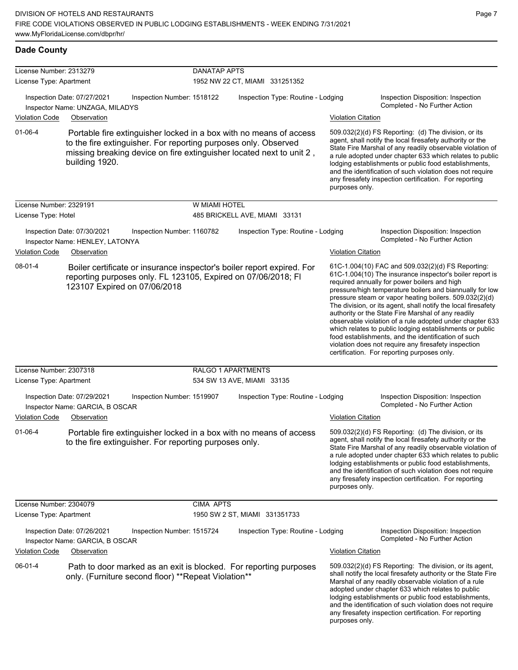| <b>Dade County</b>                                 |                                                                               |                                                                 |                     |                                                                                                                                            |                           |                                                                                                                                                                                                                                                                                                                                                                                                                                                                                                                                                                                                                                                                                                  |
|----------------------------------------------------|-------------------------------------------------------------------------------|-----------------------------------------------------------------|---------------------|--------------------------------------------------------------------------------------------------------------------------------------------|---------------------------|--------------------------------------------------------------------------------------------------------------------------------------------------------------------------------------------------------------------------------------------------------------------------------------------------------------------------------------------------------------------------------------------------------------------------------------------------------------------------------------------------------------------------------------------------------------------------------------------------------------------------------------------------------------------------------------------------|
| License Number: 2313279<br>License Type: Apartment |                                                                               |                                                                 | <b>DANATAP APTS</b> | 1952 NW 22 CT, MIAMI 331251352                                                                                                             |                           |                                                                                                                                                                                                                                                                                                                                                                                                                                                                                                                                                                                                                                                                                                  |
|                                                    | Inspection Date: 07/27/2021<br>Inspector Name: UNZAGA, MILADYS                | Inspection Number: 1518122                                      |                     | Inspection Type: Routine - Lodging                                                                                                         |                           | Inspection Disposition: Inspection<br>Completed - No Further Action                                                                                                                                                                                                                                                                                                                                                                                                                                                                                                                                                                                                                              |
| <b>Violation Code</b>                              | Observation                                                                   |                                                                 |                     |                                                                                                                                            | <b>Violation Citation</b> |                                                                                                                                                                                                                                                                                                                                                                                                                                                                                                                                                                                                                                                                                                  |
| $01 - 06 - 4$                                      | building 1920.                                                                | to the fire extinguisher. For reporting purposes only. Observed |                     | Portable fire extinguisher locked in a box with no means of access<br>missing breaking device on fire extinguisher located next to unit 2, | purposes only.            | 509.032(2)(d) FS Reporting: (d) The division, or its<br>agent, shall notify the local firesafety authority or the<br>State Fire Marshal of any readily observable violation of<br>a rule adopted under chapter 633 which relates to public<br>lodging establishments or public food establishments,<br>and the identification of such violation does not require<br>any firesafety inspection certification. For reporting                                                                                                                                                                                                                                                                       |
| License Number: 2329191                            |                                                                               |                                                                 | W MIAMI HOTEL       |                                                                                                                                            |                           |                                                                                                                                                                                                                                                                                                                                                                                                                                                                                                                                                                                                                                                                                                  |
| License Type: Hotel                                |                                                                               |                                                                 |                     | 485 BRICKELL AVE, MIAMI 33131                                                                                                              |                           |                                                                                                                                                                                                                                                                                                                                                                                                                                                                                                                                                                                                                                                                                                  |
| <b>Violation Code</b>                              | Inspection Date: 07/30/2021<br>Inspector Name: HENLEY, LATONYA<br>Observation | Inspection Number: 1160782                                      |                     | Inspection Type: Routine - Lodging                                                                                                         | <b>Violation Citation</b> | Inspection Disposition: Inspection<br>Completed - No Further Action                                                                                                                                                                                                                                                                                                                                                                                                                                                                                                                                                                                                                              |
| 08-01-4                                            |                                                                               | 123107 Expired on 07/06/2018                                    |                     | Boiler certificate or insurance inspector's boiler report expired. For<br>reporting purposes only. FL 123105, Expired on 07/06/2018; FI    |                           | 61C-1.004(10) FAC and 509.032(2)(d) FS Reporting:<br>61C-1.004(10) The insurance inspector's boiler report is<br>required annually for power boilers and high<br>pressure/high temperature boilers and biannually for low<br>pressure steam or vapor heating boilers. 509.032(2)(d)<br>The division, or its agent, shall notify the local firesafety<br>authority or the State Fire Marshal of any readily<br>observable violation of a rule adopted under chapter 633<br>which relates to public lodging establishments or public<br>food establishments, and the identification of such<br>violation does not require any firesafety inspection<br>certification. For reporting purposes only. |
| License Number: 2307318<br>License Type: Apartment |                                                                               |                                                                 |                     | RALGO 1 APARTMENTS<br>534 SW 13 AVE, MIAMI 33135                                                                                           |                           |                                                                                                                                                                                                                                                                                                                                                                                                                                                                                                                                                                                                                                                                                                  |
|                                                    | Inspection Date: 07/29/2021<br>Inspector Name: GARCIA, B OSCAR                | Inspection Number: 1519907                                      |                     | Inspection Type: Routine - Lodging                                                                                                         |                           | Inspection Disposition: Inspection<br>Completed - No Further Action                                                                                                                                                                                                                                                                                                                                                                                                                                                                                                                                                                                                                              |
| <b>Violation Code</b>                              | Observation                                                                   |                                                                 |                     |                                                                                                                                            | <b>Violation Citation</b> |                                                                                                                                                                                                                                                                                                                                                                                                                                                                                                                                                                                                                                                                                                  |
| $01 - 06 - 4$                                      |                                                                               | to the fire extinguisher. For reporting purposes only.          |                     | Portable fire extinguisher locked in a box with no means of access                                                                         | purposes only.            | 509.032(2)(d) FS Reporting: (d) The division, or its<br>agent, shall notify the local firesafety authority or the<br>State Fire Marshal of any readily observable violation of<br>a rule adopted under chapter 633 which relates to public<br>lodging establishments or public food establishments,<br>and the identification of such violation does not require<br>any firesafety inspection certification. For reporting                                                                                                                                                                                                                                                                       |
| License Number: 2304079                            |                                                                               |                                                                 | <b>CIMA APTS</b>    |                                                                                                                                            |                           |                                                                                                                                                                                                                                                                                                                                                                                                                                                                                                                                                                                                                                                                                                  |
| License Type: Apartment                            |                                                                               |                                                                 |                     | 1950 SW 2 ST, MIAMI 331351733                                                                                                              |                           |                                                                                                                                                                                                                                                                                                                                                                                                                                                                                                                                                                                                                                                                                                  |
|                                                    | Inspection Date: 07/26/2021<br>Inspector Name: GARCIA, B OSCAR                | Inspection Number: 1515724                                      |                     | Inspection Type: Routine - Lodging                                                                                                         |                           | Inspection Disposition: Inspection<br>Completed - No Further Action                                                                                                                                                                                                                                                                                                                                                                                                                                                                                                                                                                                                                              |
| <b>Violation Code</b>                              | Observation                                                                   |                                                                 |                     |                                                                                                                                            | <b>Violation Citation</b> |                                                                                                                                                                                                                                                                                                                                                                                                                                                                                                                                                                                                                                                                                                  |
| 06-01-4                                            |                                                                               | only. (Furniture second floor) **Repeat Violation**             |                     | Path to door marked as an exit is blocked. For reporting purposes                                                                          | purposes only.            | 509.032(2)(d) FS Reporting: The division, or its agent,<br>shall notify the local firesafety authority or the State Fire<br>Marshal of any readily observable violation of a rule<br>adopted under chapter 633 which relates to public<br>lodging establishments or public food establishments,<br>and the identification of such violation does not require<br>any firesafety inspection certification. For reporting                                                                                                                                                                                                                                                                           |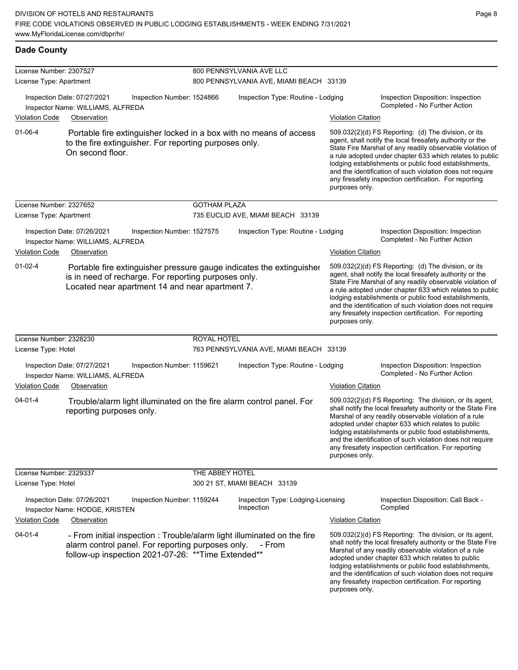## **Dade County**

| License Number: 2307527 |                                                                                 |                                                                                                          | 800 PENNSYLVANIA AVE LLC |                                                                                   |                           |                                                                                                                                                                                                                                                                                                                                                                                                                            |  |  |
|-------------------------|---------------------------------------------------------------------------------|----------------------------------------------------------------------------------------------------------|--------------------------|-----------------------------------------------------------------------------------|---------------------------|----------------------------------------------------------------------------------------------------------------------------------------------------------------------------------------------------------------------------------------------------------------------------------------------------------------------------------------------------------------------------------------------------------------------------|--|--|
| License Type: Apartment |                                                                                 |                                                                                                          |                          | 800 PENNSYLVANIA AVE, MIAMI BEACH 33139                                           |                           |                                                                                                                                                                                                                                                                                                                                                                                                                            |  |  |
|                         | Inspection Date: 07/27/2021<br>Inspector Name: WILLIAMS, ALFREDA                | Inspection Number: 1524866                                                                               |                          | Inspection Type: Routine - Lodging                                                |                           | Inspection Disposition: Inspection<br>Completed - No Further Action                                                                                                                                                                                                                                                                                                                                                        |  |  |
| <b>Violation Code</b>   | Observation                                                                     |                                                                                                          |                          |                                                                                   | <b>Violation Citation</b> |                                                                                                                                                                                                                                                                                                                                                                                                                            |  |  |
| $01 - 06 - 4$           | On second floor.                                                                | to the fire extinguisher. For reporting purposes only.                                                   |                          | Portable fire extinguisher locked in a box with no means of access                | purposes only.            | 509.032(2)(d) FS Reporting: (d) The division, or its<br>agent, shall notify the local firesafety authority or the<br>State Fire Marshal of any readily observable violation of<br>a rule adopted under chapter 633 which relates to public<br>lodging establishments or public food establishments,<br>and the identification of such violation does not require<br>any firesafety inspection certification. For reporting |  |  |
| License Number: 2327652 |                                                                                 |                                                                                                          | <b>GOTHAM PLAZA</b>      |                                                                                   |                           |                                                                                                                                                                                                                                                                                                                                                                                                                            |  |  |
| License Type: Apartment |                                                                                 |                                                                                                          |                          | 735 EUCLID AVE, MIAMI BEACH 33139                                                 |                           |                                                                                                                                                                                                                                                                                                                                                                                                                            |  |  |
| <b>Violation Code</b>   | Inspection Date: 07/26/2021<br>Inspector Name: WILLIAMS, ALFREDA<br>Observation | Inspection Number: 1527575                                                                               |                          | Inspection Type: Routine - Lodging                                                | <b>Violation Citation</b> | Inspection Disposition: Inspection<br>Completed - No Further Action                                                                                                                                                                                                                                                                                                                                                        |  |  |
| $01-02-4$               |                                                                                 | is in need of recharge. For reporting purposes only.<br>Located near apartment 14 and near apartment 7.  |                          | Portable fire extinguisher pressure gauge indicates the extinguisher              | purposes only.            | 509.032(2)(d) FS Reporting: (d) The division, or its<br>agent, shall notify the local firesafety authority or the<br>State Fire Marshal of any readily observable violation of<br>a rule adopted under chapter 633 which relates to public<br>lodging establishments or public food establishments,<br>and the identification of such violation does not require<br>any firesafety inspection certification. For reporting |  |  |
| License Number: 2328230 |                                                                                 |                                                                                                          | ROYAL HOTEL              |                                                                                   |                           |                                                                                                                                                                                                                                                                                                                                                                                                                            |  |  |
| License Type: Hotel     |                                                                                 |                                                                                                          |                          | 763 PENNSYLVANIA AVE, MIAMI BEACH 33139                                           |                           |                                                                                                                                                                                                                                                                                                                                                                                                                            |  |  |
|                         | Inspection Date: 07/27/2021<br>Inspector Name: WILLIAMS, ALFREDA                | Inspection Number: 1159621                                                                               |                          | Inspection Type: Routine - Lodging                                                |                           | Inspection Disposition: Inspection<br>Completed - No Further Action                                                                                                                                                                                                                                                                                                                                                        |  |  |
| <b>Violation Code</b>   | Observation                                                                     |                                                                                                          |                          |                                                                                   | <b>Violation Citation</b> |                                                                                                                                                                                                                                                                                                                                                                                                                            |  |  |
| $04 - 01 - 4$           | reporting purposes only.                                                        |                                                                                                          |                          | Trouble/alarm light illuminated on the fire alarm control panel. For              | purposes only.            | 509.032(2)(d) FS Reporting: The division, or its agent,<br>shall notify the local firesafety authority or the State Fire<br>Marshal of any readily observable violation of a rule<br>adopted under chapter 633 which relates to public<br>lodging establishments or public food establishments,<br>and the identification of such violation does not require<br>any firesafety inspection certification. For reporting     |  |  |
| License Number: 2329337 |                                                                                 |                                                                                                          | THE ABBEY HOTEL          |                                                                                   |                           |                                                                                                                                                                                                                                                                                                                                                                                                                            |  |  |
| License Type: Hotel     |                                                                                 |                                                                                                          |                          | 300 21 ST, MIAMI BEACH 33139                                                      |                           |                                                                                                                                                                                                                                                                                                                                                                                                                            |  |  |
|                         | Inspection Date: 07/26/2021<br>Inspector Name: HODGE, KRISTEN                   | Inspection Number: 1159244                                                                               |                          | Inspection Type: Lodging-Licensing<br>Inspection                                  |                           | Inspection Disposition: Call Back -<br>Complied                                                                                                                                                                                                                                                                                                                                                                            |  |  |
| Violation Code          | Observation                                                                     |                                                                                                          |                          |                                                                                   | <b>Violation Citation</b> |                                                                                                                                                                                                                                                                                                                                                                                                                            |  |  |
| $04 - 01 - 4$           |                                                                                 | alarm control panel. For reporting purposes only.<br>follow-up inspection 2021-07-26: ** Time Extended** |                          | - From initial inspection : Trouble/alarm light illuminated on the fire<br>- From | purposes only.            | 509.032(2)(d) FS Reporting: The division, or its agent,<br>shall notify the local firesafety authority or the State Fire<br>Marshal of any readily observable violation of a rule<br>adopted under chapter 633 which relates to public<br>lodging establishments or public food establishments,<br>and the identification of such violation does not require<br>any firesafety inspection certification. For reporting     |  |  |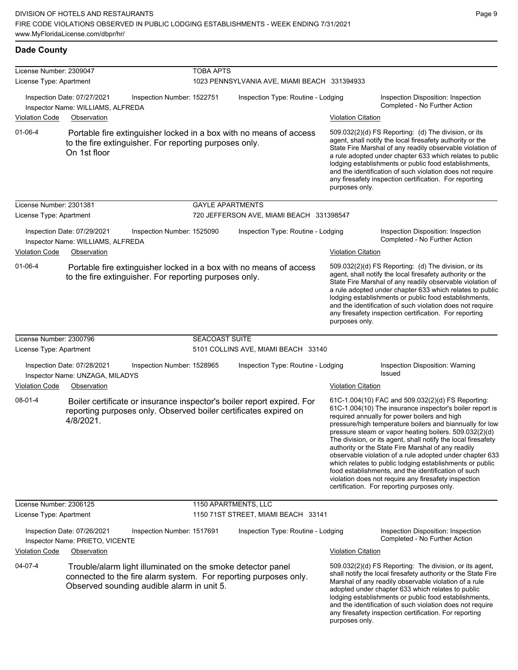## **Dade County**

| License Number: 2309047                                                                                                                                                                  |                                                                                 |                                                        | <b>TOBA APTS</b>        |                                                                                                                                            |                                                                                                                                                                                                                                                                                                                                                                                                                        |                                                                                                                                                                                                                                                                                                                                                                                                                                                                                                                                                                                                                                                                                                  |  |  |
|------------------------------------------------------------------------------------------------------------------------------------------------------------------------------------------|---------------------------------------------------------------------------------|--------------------------------------------------------|-------------------------|--------------------------------------------------------------------------------------------------------------------------------------------|------------------------------------------------------------------------------------------------------------------------------------------------------------------------------------------------------------------------------------------------------------------------------------------------------------------------------------------------------------------------------------------------------------------------|--------------------------------------------------------------------------------------------------------------------------------------------------------------------------------------------------------------------------------------------------------------------------------------------------------------------------------------------------------------------------------------------------------------------------------------------------------------------------------------------------------------------------------------------------------------------------------------------------------------------------------------------------------------------------------------------------|--|--|
| License Type: Apartment                                                                                                                                                                  |                                                                                 |                                                        |                         | 1023 PENNSYLVANIA AVE, MIAMI BEACH 331394933                                                                                               |                                                                                                                                                                                                                                                                                                                                                                                                                        |                                                                                                                                                                                                                                                                                                                                                                                                                                                                                                                                                                                                                                                                                                  |  |  |
|                                                                                                                                                                                          | Inspection Date: 07/27/2021<br>Inspector Name: WILLIAMS, ALFREDA                | Inspection Number: 1522751                             |                         | Inspection Type: Routine - Lodging                                                                                                         |                                                                                                                                                                                                                                                                                                                                                                                                                        | Inspection Disposition: Inspection<br>Completed - No Further Action                                                                                                                                                                                                                                                                                                                                                                                                                                                                                                                                                                                                                              |  |  |
| <b>Violation Code</b>                                                                                                                                                                    | Observation                                                                     |                                                        |                         |                                                                                                                                            | <b>Violation Citation</b>                                                                                                                                                                                                                                                                                                                                                                                              |                                                                                                                                                                                                                                                                                                                                                                                                                                                                                                                                                                                                                                                                                                  |  |  |
| $01 - 06 - 4$                                                                                                                                                                            | On 1st floor                                                                    | to the fire extinguisher. For reporting purposes only. |                         | Portable fire extinguisher locked in a box with no means of access                                                                         | purposes only.                                                                                                                                                                                                                                                                                                                                                                                                         | 509.032(2)(d) FS Reporting: (d) The division, or its<br>agent, shall notify the local firesafety authority or the<br>State Fire Marshal of any readily observable violation of<br>a rule adopted under chapter 633 which relates to public<br>lodging establishments or public food establishments,<br>and the identification of such violation does not require<br>any firesafety inspection certification. For reporting                                                                                                                                                                                                                                                                       |  |  |
| License Number: 2301381                                                                                                                                                                  |                                                                                 |                                                        | <b>GAYLE APARTMENTS</b> |                                                                                                                                            |                                                                                                                                                                                                                                                                                                                                                                                                                        |                                                                                                                                                                                                                                                                                                                                                                                                                                                                                                                                                                                                                                                                                                  |  |  |
| License Type: Apartment                                                                                                                                                                  |                                                                                 |                                                        |                         | 720 JEFFERSON AVE, MIAMI BEACH 331398547                                                                                                   |                                                                                                                                                                                                                                                                                                                                                                                                                        |                                                                                                                                                                                                                                                                                                                                                                                                                                                                                                                                                                                                                                                                                                  |  |  |
| <b>Violation Code</b>                                                                                                                                                                    | Inspection Date: 07/29/2021<br>Inspector Name: WILLIAMS, ALFREDA<br>Observation | Inspection Number: 1525090                             |                         | Inspection Type: Routine - Lodging                                                                                                         | <b>Violation Citation</b>                                                                                                                                                                                                                                                                                                                                                                                              | Inspection Disposition: Inspection<br>Completed - No Further Action                                                                                                                                                                                                                                                                                                                                                                                                                                                                                                                                                                                                                              |  |  |
| $01 - 06 - 4$                                                                                                                                                                            |                                                                                 | to the fire extinguisher. For reporting purposes only. |                         | Portable fire extinguisher locked in a box with no means of access                                                                         | purposes only.                                                                                                                                                                                                                                                                                                                                                                                                         | 509.032(2)(d) FS Reporting: (d) The division, or its<br>agent, shall notify the local firesafety authority or the<br>State Fire Marshal of any readily observable violation of<br>a rule adopted under chapter 633 which relates to public<br>lodging establishments or public food establishments,<br>and the identification of such violation does not require<br>any firesafety inspection certification. For reporting                                                                                                                                                                                                                                                                       |  |  |
| License Number: 2300796                                                                                                                                                                  |                                                                                 |                                                        | <b>SEACOAST SUITE</b>   |                                                                                                                                            |                                                                                                                                                                                                                                                                                                                                                                                                                        |                                                                                                                                                                                                                                                                                                                                                                                                                                                                                                                                                                                                                                                                                                  |  |  |
| License Type: Apartment                                                                                                                                                                  |                                                                                 |                                                        |                         | 5101 COLLINS AVE, MIAMI BEACH 33140                                                                                                        |                                                                                                                                                                                                                                                                                                                                                                                                                        |                                                                                                                                                                                                                                                                                                                                                                                                                                                                                                                                                                                                                                                                                                  |  |  |
|                                                                                                                                                                                          | Inspection Date: 07/28/2021<br>Inspector Name: UNZAGA, MILADYS                  | Inspection Number: 1528965                             |                         | Inspection Type: Routine - Lodging                                                                                                         |                                                                                                                                                                                                                                                                                                                                                                                                                        | Inspection Disposition: Warning<br>Issued                                                                                                                                                                                                                                                                                                                                                                                                                                                                                                                                                                                                                                                        |  |  |
| <b>Violation Code</b>                                                                                                                                                                    | Observation                                                                     |                                                        |                         |                                                                                                                                            | <b>Violation Citation</b>                                                                                                                                                                                                                                                                                                                                                                                              |                                                                                                                                                                                                                                                                                                                                                                                                                                                                                                                                                                                                                                                                                                  |  |  |
| $08 - 01 - 4$                                                                                                                                                                            | 4/8/2021.                                                                       |                                                        |                         | Boiler certificate or insurance inspector's boiler report expired. For<br>reporting purposes only. Observed boiler certificates expired on |                                                                                                                                                                                                                                                                                                                                                                                                                        | 61C-1.004(10) FAC and 509.032(2)(d) FS Reporting:<br>61C-1.004(10) The insurance inspector's boiler report is<br>required annually for power boilers and high<br>pressure/high temperature boilers and biannually for low<br>pressure steam or vapor heating boilers. 509.032(2)(d)<br>The division, or its agent, shall notify the local firesafety<br>authority or the State Fire Marshal of any readily<br>observable violation of a rule adopted under chapter 633<br>which relates to public lodging establishments or public<br>food establishments, and the identification of such<br>violation does not require any firesafety inspection<br>certification. For reporting purposes only. |  |  |
| License Number: 2306125                                                                                                                                                                  |                                                                                 |                                                        | 1150 APARTMENTS, LLC    |                                                                                                                                            |                                                                                                                                                                                                                                                                                                                                                                                                                        |                                                                                                                                                                                                                                                                                                                                                                                                                                                                                                                                                                                                                                                                                                  |  |  |
| License Type: Apartment                                                                                                                                                                  |                                                                                 |                                                        |                         | 1150 71ST STREET, MIAMI BEACH 33141                                                                                                        |                                                                                                                                                                                                                                                                                                                                                                                                                        |                                                                                                                                                                                                                                                                                                                                                                                                                                                                                                                                                                                                                                                                                                  |  |  |
|                                                                                                                                                                                          | Inspection Date: 07/26/2021<br>Inspector Name: PRIETO, VICENTE                  | Inspection Number: 1517691                             |                         | Inspection Type: Routine - Lodging                                                                                                         |                                                                                                                                                                                                                                                                                                                                                                                                                        | Inspection Disposition: Inspection<br>Completed - No Further Action                                                                                                                                                                                                                                                                                                                                                                                                                                                                                                                                                                                                                              |  |  |
| <b>Violation Code</b>                                                                                                                                                                    | Observation                                                                     |                                                        |                         |                                                                                                                                            | <b>Violation Citation</b>                                                                                                                                                                                                                                                                                                                                                                                              |                                                                                                                                                                                                                                                                                                                                                                                                                                                                                                                                                                                                                                                                                                  |  |  |
| 04-07-4<br>Trouble/alarm light illuminated on the smoke detector panel<br>connected to the fire alarm system. For reporting purposes only.<br>Observed sounding audible alarm in unit 5. |                                                                                 |                                                        |                         | purposes only.                                                                                                                             | 509.032(2)(d) FS Reporting: The division, or its agent,<br>shall notify the local firesafety authority or the State Fire<br>Marshal of any readily observable violation of a rule<br>adopted under chapter 633 which relates to public<br>lodging establishments or public food establishments,<br>and the identification of such violation does not require<br>any firesafety inspection certification. For reporting |                                                                                                                                                                                                                                                                                                                                                                                                                                                                                                                                                                                                                                                                                                  |  |  |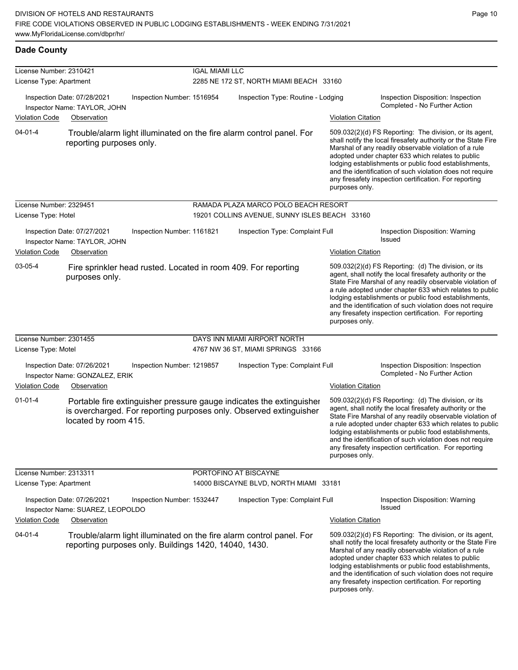**Dade County**

| License Number: 2310421                                     |                                                                 |                            | <b>IGAL MIAMI LLC</b> |                                                                                                                                            |                           |                                                                                                                                                                                                                                                                                                                                                                                                                            |
|-------------------------------------------------------------|-----------------------------------------------------------------|----------------------------|-----------------------|--------------------------------------------------------------------------------------------------------------------------------------------|---------------------------|----------------------------------------------------------------------------------------------------------------------------------------------------------------------------------------------------------------------------------------------------------------------------------------------------------------------------------------------------------------------------------------------------------------------------|
| License Type: Apartment                                     |                                                                 |                            |                       | 2285 NE 172 ST, NORTH MIAMI BEACH 33160                                                                                                    |                           |                                                                                                                                                                                                                                                                                                                                                                                                                            |
| Inspection Date: 07/28/2021<br>Inspector Name: TAYLOR, JOHN |                                                                 | Inspection Number: 1516954 |                       | Inspection Type: Routine - Lodging                                                                                                         |                           | Inspection Disposition: Inspection<br>Completed - No Further Action                                                                                                                                                                                                                                                                                                                                                        |
| <b>Violation Code</b>                                       | Observation                                                     |                            |                       |                                                                                                                                            | <b>Violation Citation</b> |                                                                                                                                                                                                                                                                                                                                                                                                                            |
| 04-01-4                                                     | reporting purposes only.                                        |                            |                       | Trouble/alarm light illuminated on the fire alarm control panel. For                                                                       | purposes only.            | 509.032(2)(d) FS Reporting: The division, or its agent,<br>shall notify the local firesafety authority or the State Fire<br>Marshal of any readily observable violation of a rule<br>adopted under chapter 633 which relates to public<br>lodging establishments or public food establishments,<br>and the identification of such violation does not require<br>any firesafety inspection certification. For reporting     |
| License Number: 2329451                                     |                                                                 |                            |                       | RAMADA PLAZA MARCO POLO BEACH RESORT                                                                                                       |                           |                                                                                                                                                                                                                                                                                                                                                                                                                            |
| License Type: Hotel                                         |                                                                 |                            |                       | 19201 COLLINS AVENUE, SUNNY ISLES BEACH 33160                                                                                              |                           |                                                                                                                                                                                                                                                                                                                                                                                                                            |
|                                                             | Inspection Date: 07/27/2021<br>Inspector Name: TAYLOR, JOHN     | Inspection Number: 1161821 |                       | Inspection Type: Complaint Full                                                                                                            |                           | Inspection Disposition: Warning<br><b>Issued</b>                                                                                                                                                                                                                                                                                                                                                                           |
| <b>Violation Code</b>                                       | Observation                                                     |                            |                       |                                                                                                                                            | <b>Violation Citation</b> |                                                                                                                                                                                                                                                                                                                                                                                                                            |
| 03-05-4                                                     | purposes only.                                                  |                            |                       | Fire sprinkler head rusted. Located in room 409. For reporting                                                                             | purposes only.            | 509.032(2)(d) FS Reporting: (d) The division, or its<br>agent, shall notify the local firesafety authority or the<br>State Fire Marshal of any readily observable violation of<br>a rule adopted under chapter 633 which relates to public<br>lodging establishments or public food establishments,<br>and the identification of such violation does not require<br>any firesafety inspection certification. For reporting |
| License Number: 2301455                                     |                                                                 |                            |                       | DAYS INN MIAMI AIRPORT NORTH                                                                                                               |                           |                                                                                                                                                                                                                                                                                                                                                                                                                            |
| License Type: Motel                                         |                                                                 |                            |                       | 4767 NW 36 ST, MIAMI SPRINGS 33166                                                                                                         |                           |                                                                                                                                                                                                                                                                                                                                                                                                                            |
|                                                             | Inspection Date: 07/26/2021<br>Inspector Name: GONZALEZ, ERIK   | Inspection Number: 1219857 |                       | Inspection Type: Complaint Full                                                                                                            |                           | Inspection Disposition: Inspection<br>Completed - No Further Action                                                                                                                                                                                                                                                                                                                                                        |
| <b>Violation Code</b>                                       | Observation                                                     |                            |                       |                                                                                                                                            | <b>Violation Citation</b> |                                                                                                                                                                                                                                                                                                                                                                                                                            |
| 01-01-4                                                     | located by room 415.                                            |                            |                       | Portable fire extinguisher pressure gauge indicates the extinguisher<br>is overcharged. For reporting purposes only. Observed extinguisher | purposes only.            | 509.032(2)(d) FS Reporting: (d) The division, or its<br>agent, shall notify the local firesafety authority or the<br>State Fire Marshal of any readily observable violation of<br>a rule adopted under chapter 633 which relates to public<br>lodging establishments or public food establishments,<br>and the identification of such violation does not require<br>any firesafety inspection certification. For reporting |
| License Number: 2313311                                     |                                                                 |                            |                       | PORTOFINO AT BISCAYNE                                                                                                                      |                           |                                                                                                                                                                                                                                                                                                                                                                                                                            |
| License Type: Apartment                                     |                                                                 |                            |                       | 14000 BISCAYNE BLVD, NORTH MIAMI 33181                                                                                                     |                           |                                                                                                                                                                                                                                                                                                                                                                                                                            |
|                                                             | Inspection Date: 07/26/2021<br>Inspector Name: SUAREZ, LEOPOLDO | Inspection Number: 1532447 |                       | Inspection Type: Complaint Full                                                                                                            |                           | Inspection Disposition: Warning<br><b>Issued</b>                                                                                                                                                                                                                                                                                                                                                                           |
| Violation Code                                              | Observation                                                     |                            |                       |                                                                                                                                            | <b>Violation Citation</b> |                                                                                                                                                                                                                                                                                                                                                                                                                            |
| 04-01-4                                                     | reporting purposes only. Buildings 1420, 14040, 1430.           |                            |                       | Trouble/alarm light illuminated on the fire alarm control panel. For                                                                       | purposes only.            | 509.032(2)(d) FS Reporting: The division, or its agent,<br>shall notify the local firesafety authority or the State Fire<br>Marshal of any readily observable violation of a rule<br>adopted under chapter 633 which relates to public<br>lodging establishments or public food establishments,<br>and the identification of such violation does not require<br>any firesafety inspection certification. For reporting     |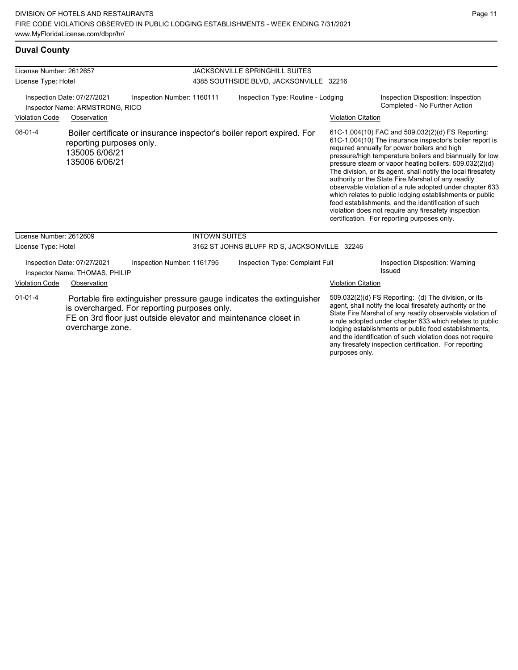## **Duval County**

| License Number: 2612657                                        |                                                               |                                                                                                                                                                                         | <b>JACKSONVILLE SPRINGHILL SUITES</b>        |                           |                                                                                                                                                                                                                                                                                                                                                                                                                                                                                                                                                                                                                                                                                                  |  |
|----------------------------------------------------------------|---------------------------------------------------------------|-----------------------------------------------------------------------------------------------------------------------------------------------------------------------------------------|----------------------------------------------|---------------------------|--------------------------------------------------------------------------------------------------------------------------------------------------------------------------------------------------------------------------------------------------------------------------------------------------------------------------------------------------------------------------------------------------------------------------------------------------------------------------------------------------------------------------------------------------------------------------------------------------------------------------------------------------------------------------------------------------|--|
| License Type: Hotel                                            |                                                               |                                                                                                                                                                                         | 4385 SOUTHSIDE BLVD, JACKSONVILLE 32216      |                           |                                                                                                                                                                                                                                                                                                                                                                                                                                                                                                                                                                                                                                                                                                  |  |
| Inspection Date: 07/27/2021<br>Inspector Name: ARMSTRONG, RICO |                                                               | Inspection Number: 1160111                                                                                                                                                              | Inspection Type: Routine - Lodging           |                           | Inspection Disposition: Inspection<br>Completed - No Further Action                                                                                                                                                                                                                                                                                                                                                                                                                                                                                                                                                                                                                              |  |
| <b>Violation Code</b>                                          | Observation                                                   |                                                                                                                                                                                         |                                              | <b>Violation Citation</b> |                                                                                                                                                                                                                                                                                                                                                                                                                                                                                                                                                                                                                                                                                                  |  |
| $08 - 01 - 4$                                                  | reporting purposes only.<br>135005 6/06/21<br>135006 6/06/21  | Boiler certificate or insurance inspector's boiler report expired. For                                                                                                                  |                                              |                           | 61C-1.004(10) FAC and 509.032(2)(d) FS Reporting:<br>61C-1.004(10) The insurance inspector's boiler report is<br>required annually for power boilers and high<br>pressure/high temperature boilers and biannually for low<br>pressure steam or vapor heating boilers. 509.032(2)(d)<br>The division, or its agent, shall notify the local firesafety<br>authority or the State Fire Marshal of any readily<br>observable violation of a rule adopted under chapter 633<br>which relates to public lodging establishments or public<br>food establishments, and the identification of such<br>violation does not require any firesafety inspection<br>certification. For reporting purposes only. |  |
| License Number: 2612609                                        |                                                               | <b>INTOWN SUITES</b>                                                                                                                                                                    |                                              |                           |                                                                                                                                                                                                                                                                                                                                                                                                                                                                                                                                                                                                                                                                                                  |  |
| License Type: Hotel                                            |                                                               |                                                                                                                                                                                         | 3162 ST JOHNS BLUFF RD S, JACKSONVILLE 32246 |                           |                                                                                                                                                                                                                                                                                                                                                                                                                                                                                                                                                                                                                                                                                                  |  |
|                                                                | Inspection Date: 07/27/2021<br>Inspector Name: THOMAS, PHILIP | Inspection Number: 1161795                                                                                                                                                              | Inspection Type: Complaint Full              |                           | Inspection Disposition: Warning<br>Issued                                                                                                                                                                                                                                                                                                                                                                                                                                                                                                                                                                                                                                                        |  |
| <b>Violation Code</b>                                          | Observation                                                   |                                                                                                                                                                                         |                                              | <b>Violation Citation</b> |                                                                                                                                                                                                                                                                                                                                                                                                                                                                                                                                                                                                                                                                                                  |  |
| $01 - 01 - 4$                                                  | overcharge zone.                                              | Portable fire extinguisher pressure gauge indicates the extinguisher<br>is overcharged. For reporting purposes only.<br>FE on 3rd floor just outside elevator and maintenance closet in |                                              |                           | 509.032(2)(d) FS Reporting: (d) The division, or its<br>agent, shall notify the local firesafety authority or the<br>State Fire Marshal of any readily observable violation of<br>a rule adopted under chapter 633 which relates to public<br>lodging establishments or public food establishments,<br>and the identification of such violation does not require<br>any firesafety inspection certification. For reporting                                                                                                                                                                                                                                                                       |  |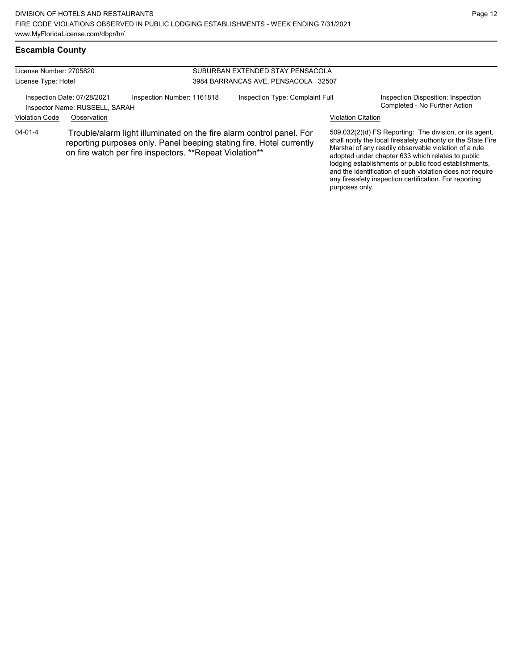any firesafety inspection certification. For reporting

purposes only.

# **Escambia County**

| License Number: 2705820 |                                                               |                                                         |                                     | SUBURBAN EXTENDED STAY PENSACOLA                                                                                                             |                           |                                                                                                                                                                                                                                                                                                                                                              |  |
|-------------------------|---------------------------------------------------------------|---------------------------------------------------------|-------------------------------------|----------------------------------------------------------------------------------------------------------------------------------------------|---------------------------|--------------------------------------------------------------------------------------------------------------------------------------------------------------------------------------------------------------------------------------------------------------------------------------------------------------------------------------------------------------|--|
| License Type: Hotel     |                                                               |                                                         | 3984 BARRANCAS AVE, PENSACOLA 32507 |                                                                                                                                              |                           |                                                                                                                                                                                                                                                                                                                                                              |  |
|                         | Inspection Date: 07/28/2021<br>Inspector Name: RUSSELL, SARAH | Inspection Number: 1161818                              |                                     | Inspection Type: Complaint Full                                                                                                              |                           | Inspection Disposition: Inspection<br>Completed - No Further Action                                                                                                                                                                                                                                                                                          |  |
| <b>Violation Code</b>   | Observation                                                   |                                                         |                                     |                                                                                                                                              | <b>Violation Citation</b> |                                                                                                                                                                                                                                                                                                                                                              |  |
| $04 - 01 - 4$           |                                                               | on fire watch per fire inspectors. **Repeat Violation** |                                     | Trouble/alarm light illuminated on the fire alarm control panel. For<br>reporting purposes only. Panel beeping stating fire. Hotel currently |                           | 509.032(2)(d) FS Reporting: The division, or its agent,<br>shall notify the local firesafety authority or the State Fire<br>Marshal of any readily observable violation of a rule<br>adopted under chapter 633 which relates to public<br>lodging establishments or public food establishments,<br>and the identification of such violation does not require |  |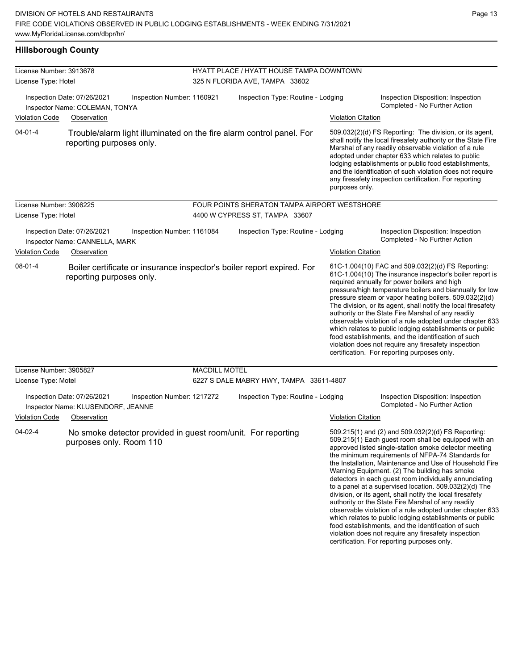## **Hillsborough County**

| License Number: 3913678                                                                                           |                            | HYATT PLACE / HYATT HOUSE TAMPA DOWNTOWN     |                           |                                                                                                                                                                                                                                                                                                                                                                                                                                                                                                                                                                                                                                                                                                                                                                                                                                                                     |  |  |
|-------------------------------------------------------------------------------------------------------------------|----------------------------|----------------------------------------------|---------------------------|---------------------------------------------------------------------------------------------------------------------------------------------------------------------------------------------------------------------------------------------------------------------------------------------------------------------------------------------------------------------------------------------------------------------------------------------------------------------------------------------------------------------------------------------------------------------------------------------------------------------------------------------------------------------------------------------------------------------------------------------------------------------------------------------------------------------------------------------------------------------|--|--|
| License Type: Hotel                                                                                               |                            | 325 N FLORIDA AVE, TAMPA 33602               |                           |                                                                                                                                                                                                                                                                                                                                                                                                                                                                                                                                                                                                                                                                                                                                                                                                                                                                     |  |  |
| Inspection Date: 07/26/2021<br>Inspector Name: COLEMAN, TONYA                                                     | Inspection Number: 1160921 | Inspection Type: Routine - Lodging           |                           | Inspection Disposition: Inspection<br>Completed - No Further Action                                                                                                                                                                                                                                                                                                                                                                                                                                                                                                                                                                                                                                                                                                                                                                                                 |  |  |
| Violation Code<br>Observation                                                                                     |                            |                                              | <b>Violation Citation</b> |                                                                                                                                                                                                                                                                                                                                                                                                                                                                                                                                                                                                                                                                                                                                                                                                                                                                     |  |  |
| $04 - 01 - 4$<br>Trouble/alarm light illuminated on the fire alarm control panel. For<br>reporting purposes only. |                            |                                              | purposes only.            | 509.032(2)(d) FS Reporting: The division, or its agent,<br>shall notify the local firesafety authority or the State Fire<br>Marshal of any readily observable violation of a rule<br>adopted under chapter 633 which relates to public<br>lodging establishments or public food establishments,<br>and the identification of such violation does not require<br>any firesafety inspection certification. For reporting                                                                                                                                                                                                                                                                                                                                                                                                                                              |  |  |
| License Number: 3906225                                                                                           |                            | FOUR POINTS SHERATON TAMPA AIRPORT WESTSHORE |                           |                                                                                                                                                                                                                                                                                                                                                                                                                                                                                                                                                                                                                                                                                                                                                                                                                                                                     |  |  |
| License Type: Hotel                                                                                               |                            | 4400 W CYPRESS ST, TAMPA 33607               |                           |                                                                                                                                                                                                                                                                                                                                                                                                                                                                                                                                                                                                                                                                                                                                                                                                                                                                     |  |  |
| Inspection Date: 07/26/2021<br>Inspector Name: CANNELLA, MARK                                                     | Inspection Number: 1161084 | Inspection Type: Routine - Lodging           |                           | Inspection Disposition: Inspection<br>Completed - No Further Action                                                                                                                                                                                                                                                                                                                                                                                                                                                                                                                                                                                                                                                                                                                                                                                                 |  |  |
| Violation Code<br>Observation                                                                                     |                            |                                              | <b>Violation Citation</b> |                                                                                                                                                                                                                                                                                                                                                                                                                                                                                                                                                                                                                                                                                                                                                                                                                                                                     |  |  |
| $08-01-4$<br>Boiler certificate or insurance inspector's boiler report expired. For<br>reporting purposes only.   |                            |                                              |                           | 61C-1.004(10) FAC and 509.032(2)(d) FS Reporting:<br>61C-1.004(10) The insurance inspector's boiler report is<br>required annually for power boilers and high<br>pressure/high temperature boilers and biannually for low<br>pressure steam or vapor heating boilers. 509.032(2)(d)<br>The division, or its agent, shall notify the local firesafety<br>authority or the State Fire Marshal of any readily<br>observable violation of a rule adopted under chapter 633<br>which relates to public lodging establishments or public<br>food establishments, and the identification of such<br>violation does not require any firesafety inspection<br>certification. For reporting purposes only.                                                                                                                                                                    |  |  |
| License Number: 3905827                                                                                           | <b>MACDILL MOTEL</b>       |                                              |                           |                                                                                                                                                                                                                                                                                                                                                                                                                                                                                                                                                                                                                                                                                                                                                                                                                                                                     |  |  |
| License Type: Motel                                                                                               |                            | 6227 S DALE MABRY HWY, TAMPA 33611-4807      |                           |                                                                                                                                                                                                                                                                                                                                                                                                                                                                                                                                                                                                                                                                                                                                                                                                                                                                     |  |  |
| Inspection Date: 07/26/2021<br>Inspector Name: KLUSENDORF, JEANNE                                                 | Inspection Number: 1217272 | Inspection Type: Routine - Lodging           |                           | Inspection Disposition: Inspection<br>Completed - No Further Action                                                                                                                                                                                                                                                                                                                                                                                                                                                                                                                                                                                                                                                                                                                                                                                                 |  |  |
| <b>Violation Code</b><br>Observation                                                                              |                            |                                              | <b>Violation Citation</b> |                                                                                                                                                                                                                                                                                                                                                                                                                                                                                                                                                                                                                                                                                                                                                                                                                                                                     |  |  |
| 04-02-4<br>No smoke detector provided in guest room/unit. For reporting<br>purposes only. Room 110                |                            |                                              |                           | 509.215(1) and (2) and 509.032(2)(d) FS Reporting:<br>509.215(1) Each guest room shall be equipped with an<br>approved listed single-station smoke detector meeting<br>the minimum requirements of NFPA-74 Standards for<br>the Installation, Maintenance and Use of Household Fire<br>Warning Equipment. (2) The building has smoke<br>detectors in each guest room individually annunciating<br>to a panel at a supervised location. $509.032(2)(d)$ The<br>division, or its agent, shall notify the local firesafety<br>authority or the State Fire Marshal of any readily<br>observable violation of a rule adopted under chapter 633<br>which relates to public lodging establishments or public<br>food establishments, and the identification of such<br>violation does not require any firesafety inspection<br>certification. For reporting purposes only. |  |  |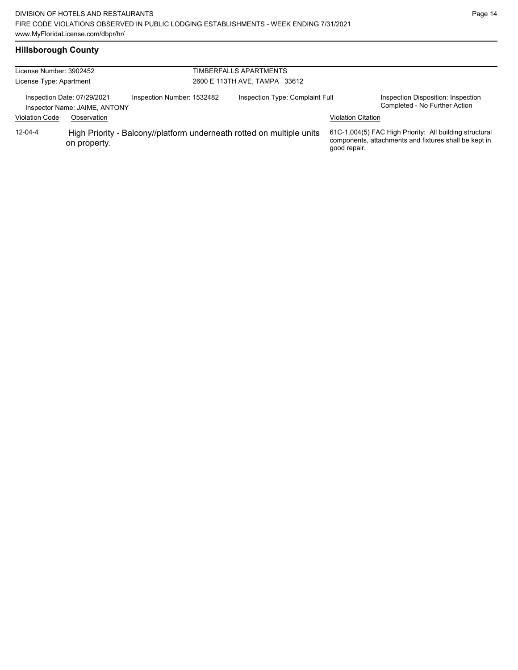# **Hillsborough County**

| License Number: 3902452<br>License Type: Apartment |                                                                             | TIMBERFALLS APARTMENTS<br>2600 E 113TH AVE, TAMPA 33612 |  |                                                                       |                           |                                                                                                                  |
|----------------------------------------------------|-----------------------------------------------------------------------------|---------------------------------------------------------|--|-----------------------------------------------------------------------|---------------------------|------------------------------------------------------------------------------------------------------------------|
| <b>Violation Code</b>                              | Inspection Date: 07/29/2021<br>Inspector Name: JAIME, ANTONY<br>Observation | Inspection Number: 1532482                              |  | Inspection Type: Complaint Full                                       | <b>Violation Citation</b> | Inspection Disposition: Inspection<br>Completed - No Further Action                                              |
| $12 - 04 - 4$                                      | on property.                                                                |                                                         |  | High Priority - Balcony//platform underneath rotted on multiple units | good repair.              | 61C-1.004(5) FAC High Priority: All building structural<br>components, attachments and fixtures shall be kept in |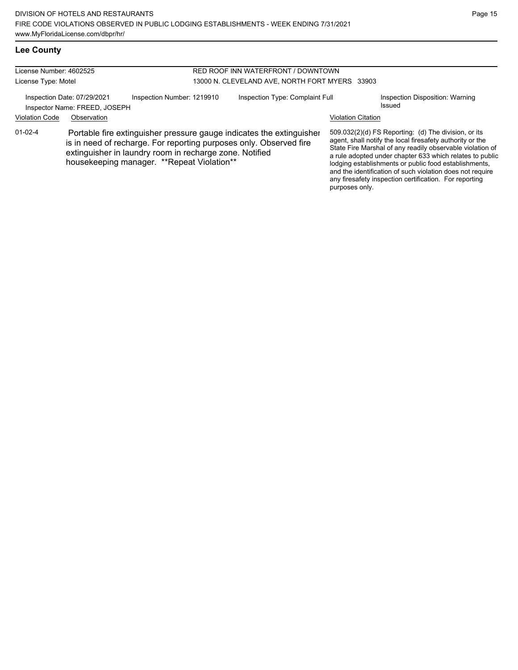# **Lee County**

#### License Number: 4602525 License Type: Motel RED ROOF INN WATERFRONT / DOWNTOWN 13000 N. CLEVELAND AVE, NORTH FORT MYERS 33903 Inspection Date: 07/29/2021 Inspection Number: 1219910 Inspection Type: Complaint Full Inspection Disposition: Warning Inspector Name: FREED, JOSEPH Same Contract the United States of the United States of the United States of the U Violation Code Observation Violation Citation 509.032(2)(d) FS Reporting: (d) The division, or its agent, shall notify the local firesafety authority or the State Fire Marshal of any readily observable violation of a rule adopted under chapter 633 which relates to public lodging establishments or public food establishments, and the identification of such violation does not require any firesafety inspection certification. For reporting purposes only. 01-02-4 Portable fire extinguisher pressure gauge indicates the extinguisher is in need of recharge. For reporting purposes only. Observed fire extinguisher in laundry room in recharge zone. Notified housekeeping manager. \*\*Repeat Violation\*\*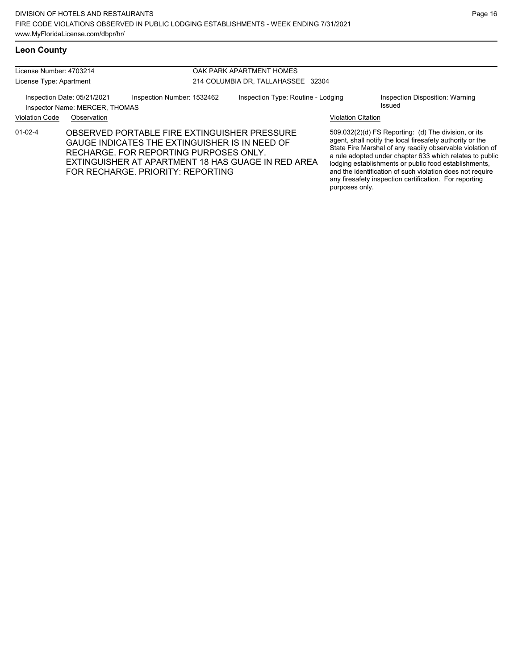License Number: 4703214 License Type: Apartment OAK PARK APARTMENT HOMES 214 COLUMBIA DR, TALLAHASSEE 32304 Inspection Date: 05/21/2021 Inspection Number: 1532462 Inspection Type: Routine - Lodging Inspection Disposition: Warning Inspector Name: MERCER, THOMAS **Inspector Name:** MERCER, THOMAS Violation Code Observation Violation Citation 509.032(2)(d) FS Reporting: (d) The division, or its agent, shall notify the local firesafety authority or the State Fire Marshal of any readily observable violation of a rule adopted under chapter 633 which relates to public lodging establishments or public food establishments, and the identification of such violation does not require any firesafety inspection certification. For reporting 01-02-4 OBSERVED PORTABLE FIRE EXTINGUISHER PRESSURE GAUGE INDICATES THE EXTINGUISHER IS IN NEED OF RECHARGE. FOR REPORTING PURPOSES ONLY. EXTINGUISHER AT APARTMENT 18 HAS GUAGE IN RED AREA FOR RECHARGE. PRIORITY: REPORTING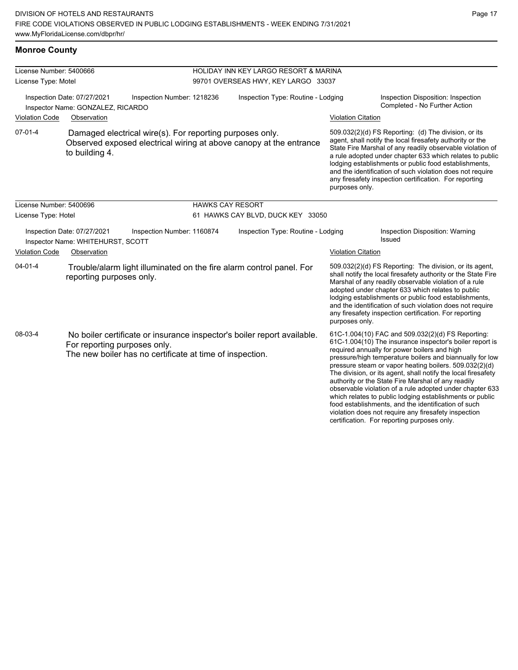| <b>Monroe County</b>                           |                                                                                                                                                                     |                                                                              |                           |                                                                                                                                                                                                                                                                                                                                                                                                                                                                                                                                                                                                                                                                                                  |  |  |
|------------------------------------------------|---------------------------------------------------------------------------------------------------------------------------------------------------------------------|------------------------------------------------------------------------------|---------------------------|--------------------------------------------------------------------------------------------------------------------------------------------------------------------------------------------------------------------------------------------------------------------------------------------------------------------------------------------------------------------------------------------------------------------------------------------------------------------------------------------------------------------------------------------------------------------------------------------------------------------------------------------------------------------------------------------------|--|--|
| License Number: 5400666<br>License Type: Motel |                                                                                                                                                                     | HOLIDAY INN KEY LARGO RESORT & MARINA<br>99701 OVERSEAS HWY, KEY LARGO 33037 |                           |                                                                                                                                                                                                                                                                                                                                                                                                                                                                                                                                                                                                                                                                                                  |  |  |
| <b>Violation Code</b>                          | Inspection Date: 07/27/2021<br>Inspection Number: 1218236<br>Inspector Name: GONZALEZ, RICARDO<br>Observation                                                       | Inspection Type: Routine - Lodging                                           |                           | Inspection Disposition: Inspection<br>Completed - No Further Action<br><b>Violation Citation</b>                                                                                                                                                                                                                                                                                                                                                                                                                                                                                                                                                                                                 |  |  |
| $07-01-4$                                      | Damaged electrical wire(s). For reporting purposes only.<br>to building 4.                                                                                          | Observed exposed electrical wiring at above canopy at the entrance           |                           | 509.032(2)(d) FS Reporting (d) The division, or its<br>agent, shall notify the local firesafety authority or the<br>State Fire Marshal of any readily observable violation of<br>a rule adopted under chapter 633 which relates to public<br>lodging establishments or public food establishments,<br>and the identification of such violation does not require<br>any firesafety inspection certification. For reporting<br>purposes only.                                                                                                                                                                                                                                                      |  |  |
| License Number: 5400696<br>License Type: Hotel |                                                                                                                                                                     | <b>HAWKS CAY RESORT</b><br>61 HAWKS CAY BLVD, DUCK KEY 33050                 |                           |                                                                                                                                                                                                                                                                                                                                                                                                                                                                                                                                                                                                                                                                                                  |  |  |
|                                                | Inspection Date: 07/27/2021<br>Inspection Number: 1160874<br>Inspector Name: WHITEHURST, SCOTT                                                                      | Inspection Type: Routine - Lodging                                           |                           | Inspection Disposition: Warning<br><b>Issued</b>                                                                                                                                                                                                                                                                                                                                                                                                                                                                                                                                                                                                                                                 |  |  |
| <b>Violation Code</b>                          | Observation                                                                                                                                                         |                                                                              | <b>Violation Citation</b> |                                                                                                                                                                                                                                                                                                                                                                                                                                                                                                                                                                                                                                                                                                  |  |  |
| $04 - 01 - 4$                                  | Trouble/alarm light illuminated on the fire alarm control panel. For<br>reporting purposes only.                                                                    |                                                                              | purposes only.            | 509.032(2)(d) FS Reporting: The division, or its agent,<br>shall notify the local firesafety authority or the State Fire<br>Marshal of any readily observable violation of a rule<br>adopted under chapter 633 which relates to public<br>lodging establishments or public food establishments,<br>and the identification of such violation does not require<br>any firesafety inspection certification. For reporting                                                                                                                                                                                                                                                                           |  |  |
| 08-03-4                                        | No boiler certificate or insurance inspector's boiler report available.<br>For reporting purposes only.<br>The new boiler has no certificate at time of inspection. |                                                                              |                           | 61C-1.004(10) FAC and 509.032(2)(d) FS Reporting:<br>61C-1.004(10) The insurance inspector's boiler report is<br>required annually for power boilers and high<br>pressure/high temperature boilers and biannually for low<br>pressure steam or vapor heating boilers. 509.032(2)(d)<br>The division, or its agent, shall notify the local firesafety<br>authority or the State Fire Marshal of any readily<br>observable violation of a rule adopted under chapter 633<br>which relates to public lodging establishments or public<br>food establishments, and the identification of such<br>violation does not require any firesafety inspection<br>certification. For reporting purposes only. |  |  |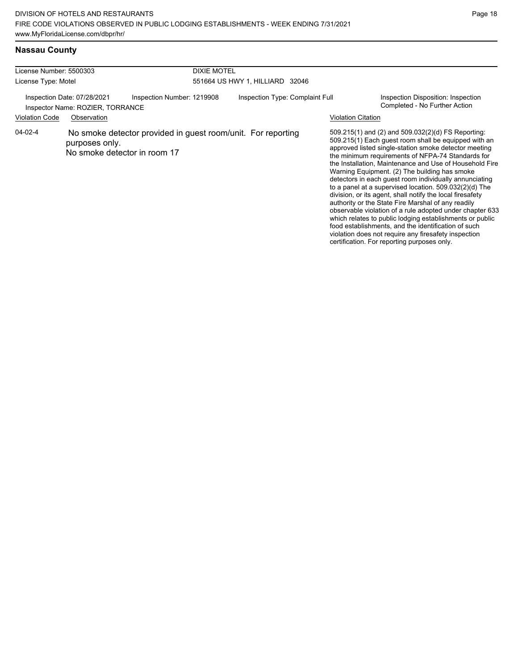certification. For reporting purposes only.

# **Nassau County**

| License Number: 5500303 |                                                                                | <b>DIXIE MOTEL</b>                                                                           |                                 |                                                                                                                                                                                                                                                                                                                                                                                                                                                                                                                                                                                                                                                                                                                                                                                                                    |
|-------------------------|--------------------------------------------------------------------------------|----------------------------------------------------------------------------------------------|---------------------------------|--------------------------------------------------------------------------------------------------------------------------------------------------------------------------------------------------------------------------------------------------------------------------------------------------------------------------------------------------------------------------------------------------------------------------------------------------------------------------------------------------------------------------------------------------------------------------------------------------------------------------------------------------------------------------------------------------------------------------------------------------------------------------------------------------------------------|
| License Type: Motel     |                                                                                |                                                                                              | 551664 US HWY 1, HILLIARD 32046 |                                                                                                                                                                                                                                                                                                                                                                                                                                                                                                                                                                                                                                                                                                                                                                                                                    |
| <b>Violation Code</b>   | Inspection Date: 07/28/2021<br>Inspector Name: ROZIER, TORRANCE<br>Observation | Inspection Number: 1219908                                                                   | Inspection Type: Complaint Full | Inspection Disposition: Inspection<br>Completed - No Further Action<br><b>Violation Citation</b>                                                                                                                                                                                                                                                                                                                                                                                                                                                                                                                                                                                                                                                                                                                   |
| 04-02-4                 | purposes only.                                                                 | No smoke detector provided in guest room/unit. For reporting<br>No smoke detector in room 17 |                                 | 509.215(1) and (2) and 509.032(2)(d) FS Reporting:<br>509.215(1) Each guest room shall be equipped with an<br>approved listed single-station smoke detector meeting<br>the minimum requirements of NFPA-74 Standards for<br>the Installation, Maintenance and Use of Household Fire<br>Warning Equipment. (2) The building has smoke<br>detectors in each guest room individually annunciating<br>to a panel at a supervised location. 509.032(2)(d) The<br>division, or its agent, shall notify the local firesafety<br>authority or the State Fire Marshal of any readily<br>observable violation of a rule adopted under chapter 633<br>which relates to public lodging establishments or public<br>food establishments, and the identification of such<br>violation does not require any firesafety inspection |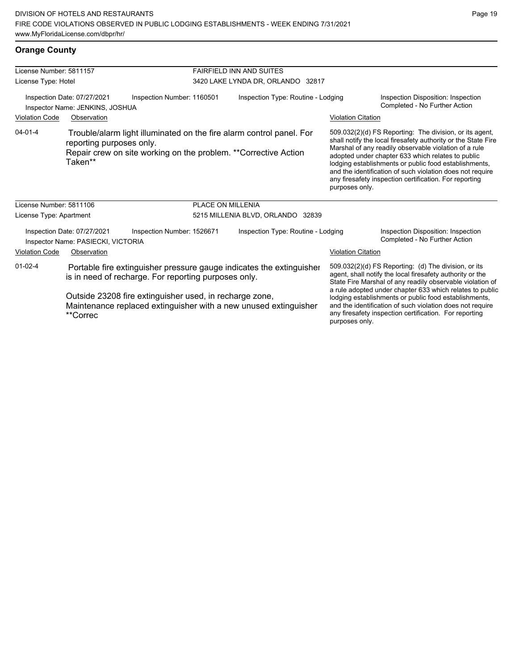## **Orange County**

| License Number: 5811157                                        |                                                                                                                                                                                                                                                                         |                                                                                                                                          | <b>FAIRFIELD INN AND SUITES</b>    |                                                                                                                                                                                                                                                                                                                                                                                                                                              |                                                                                                                                                                                                                                                                                                                                                                                                                        |  |  |
|----------------------------------------------------------------|-------------------------------------------------------------------------------------------------------------------------------------------------------------------------------------------------------------------------------------------------------------------------|------------------------------------------------------------------------------------------------------------------------------------------|------------------------------------|----------------------------------------------------------------------------------------------------------------------------------------------------------------------------------------------------------------------------------------------------------------------------------------------------------------------------------------------------------------------------------------------------------------------------------------------|------------------------------------------------------------------------------------------------------------------------------------------------------------------------------------------------------------------------------------------------------------------------------------------------------------------------------------------------------------------------------------------------------------------------|--|--|
| License Type: Hotel                                            |                                                                                                                                                                                                                                                                         |                                                                                                                                          | 3420 LAKE LYNDA DR, ORLANDO 32817  |                                                                                                                                                                                                                                                                                                                                                                                                                                              |                                                                                                                                                                                                                                                                                                                                                                                                                        |  |  |
| Inspection Date: 07/27/2021<br>Inspector Name: JENKINS, JOSHUA |                                                                                                                                                                                                                                                                         | Inspection Number: 1160501                                                                                                               | Inspection Type: Routine - Lodging |                                                                                                                                                                                                                                                                                                                                                                                                                                              | Inspection Disposition: Inspection<br>Completed - No Further Action                                                                                                                                                                                                                                                                                                                                                    |  |  |
| <b>Violation Code</b>                                          | Observation                                                                                                                                                                                                                                                             |                                                                                                                                          |                                    | <b>Violation Citation</b>                                                                                                                                                                                                                                                                                                                                                                                                                    |                                                                                                                                                                                                                                                                                                                                                                                                                        |  |  |
| $04 - 01 - 4$                                                  | reporting purposes only.<br>Taken**                                                                                                                                                                                                                                     | Trouble/alarm light illuminated on the fire alarm control panel. For<br>Repair crew on site working on the problem. ** Corrective Action |                                    | purposes only.                                                                                                                                                                                                                                                                                                                                                                                                                               | 509.032(2)(d) FS Reporting: The division, or its agent,<br>shall notify the local firesafety authority or the State Fire<br>Marshal of any readily observable violation of a rule<br>adopted under chapter 633 which relates to public<br>lodging establishments or public food establishments,<br>and the identification of such violation does not require<br>any firesafety inspection certification. For reporting |  |  |
| License Number: 5811106                                        |                                                                                                                                                                                                                                                                         | <b>PLACE ON MILLENIA</b>                                                                                                                 |                                    |                                                                                                                                                                                                                                                                                                                                                                                                                                              |                                                                                                                                                                                                                                                                                                                                                                                                                        |  |  |
| License Type: Apartment                                        |                                                                                                                                                                                                                                                                         |                                                                                                                                          | 5215 MILLENIA BLVD, ORLANDO 32839  |                                                                                                                                                                                                                                                                                                                                                                                                                                              |                                                                                                                                                                                                                                                                                                                                                                                                                        |  |  |
|                                                                | Inspection Date: 07/27/2021<br>Inspector Name: PASIECKI, VICTORIA                                                                                                                                                                                                       | Inspection Number: 1526671                                                                                                               | Inspection Type: Routine - Lodging |                                                                                                                                                                                                                                                                                                                                                                                                                                              | Inspection Disposition: Inspection<br>Completed - No Further Action                                                                                                                                                                                                                                                                                                                                                    |  |  |
| <b>Violation Code</b>                                          | Observation                                                                                                                                                                                                                                                             |                                                                                                                                          |                                    | <b>Violation Citation</b>                                                                                                                                                                                                                                                                                                                                                                                                                    |                                                                                                                                                                                                                                                                                                                                                                                                                        |  |  |
| $01 - 02 - 4$                                                  | Portable fire extinguisher pressure gauge indicates the extinguisher<br>is in need of recharge. For reporting purposes only.<br>Outside 23208 fire extinguisher used, in recharge zone,<br>Maintenance replaced extinguisher with a new unused extinguisher<br>**Correc |                                                                                                                                          |                                    | 509.032(2)(d) FS Reporting: (d) The division, or its<br>agent, shall notify the local firesafety authority or the<br>State Fire Marshal of any readily observable violation of<br>a rule adopted under chapter 633 which relates to public<br>lodging establishments or public food establishments,<br>and the identification of such violation does not require<br>any firesafety inspection certification. For reporting<br>purposes only. |                                                                                                                                                                                                                                                                                                                                                                                                                        |  |  |
|                                                                |                                                                                                                                                                                                                                                                         |                                                                                                                                          |                                    |                                                                                                                                                                                                                                                                                                                                                                                                                                              |                                                                                                                                                                                                                                                                                                                                                                                                                        |  |  |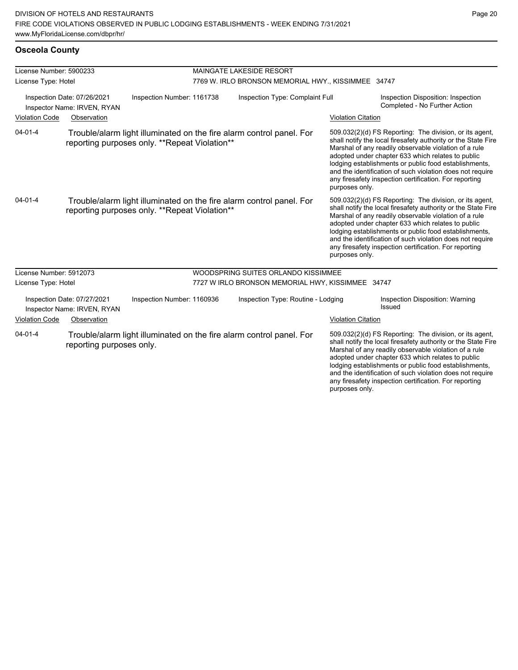| License Number: 5900233 |                                                            |                                                                                                                       | <b>MAINGATE LAKESIDE RESORT</b>                     |                           |                                                                                                                                                                                                                                                                                                                                                                                                                        |  |
|-------------------------|------------------------------------------------------------|-----------------------------------------------------------------------------------------------------------------------|-----------------------------------------------------|---------------------------|------------------------------------------------------------------------------------------------------------------------------------------------------------------------------------------------------------------------------------------------------------------------------------------------------------------------------------------------------------------------------------------------------------------------|--|
| License Type: Hotel     |                                                            |                                                                                                                       | 7769 W. IRLO BRONSON MEMORIAL HWY., KISSIMMEE 34747 |                           |                                                                                                                                                                                                                                                                                                                                                                                                                        |  |
|                         | Inspection Date: 07/26/2021<br>Inspector Name: IRVEN, RYAN | Inspection Number: 1161738                                                                                            | Inspection Type: Complaint Full                     |                           | Inspection Disposition: Inspection<br>Completed - No Further Action                                                                                                                                                                                                                                                                                                                                                    |  |
| <b>Violation Code</b>   | Observation                                                |                                                                                                                       |                                                     | <b>Violation Citation</b> |                                                                                                                                                                                                                                                                                                                                                                                                                        |  |
| $04 - 01 - 4$           |                                                            | Trouble/alarm light illuminated on the fire alarm control panel. For<br>reporting purposes only. **Repeat Violation** |                                                     | purposes only.            | 509.032(2)(d) FS Reporting: The division, or its agent,<br>shall notify the local firesafety authority or the State Fire<br>Marshal of any readily observable violation of a rule<br>adopted under chapter 633 which relates to public<br>lodging establishments or public food establishments,<br>and the identification of such violation does not require<br>any firesafety inspection certification. For reporting |  |
| $04 - 01 - 4$           |                                                            | Trouble/alarm light illuminated on the fire alarm control panel. For<br>reporting purposes only. **Repeat Violation** |                                                     | purposes only.            | 509.032(2)(d) FS Reporting: The division, or its agent,<br>shall notify the local firesafety authority or the State Fire<br>Marshal of any readily observable violation of a rule<br>adopted under chapter 633 which relates to public<br>lodging establishments or public food establishments,<br>and the identification of such violation does not require<br>any firesafety inspection certification. For reporting |  |
| License Number: 5912073 |                                                            |                                                                                                                       | WOODSPRING SUITES ORLANDO KISSIMMEE                 |                           |                                                                                                                                                                                                                                                                                                                                                                                                                        |  |
| License Type: Hotel     |                                                            |                                                                                                                       | 7727 W IRLO BRONSON MEMORIAL HWY, KISSIMMEE 34747   |                           |                                                                                                                                                                                                                                                                                                                                                                                                                        |  |
|                         | Inspection Date: 07/27/2021<br>Inspector Name: IRVEN, RYAN | Inspection Number: 1160936                                                                                            | Inspection Type: Routine - Lodging                  |                           | Inspection Disposition: Warning<br>Issued                                                                                                                                                                                                                                                                                                                                                                              |  |
| <b>Violation Code</b>   | Observation                                                |                                                                                                                       |                                                     | <b>Violation Citation</b> |                                                                                                                                                                                                                                                                                                                                                                                                                        |  |
| $04 - 01 - 4$           | reporting purposes only.                                   | Trouble/alarm light illuminated on the fire alarm control panel. For                                                  |                                                     | purposes only.            | 509.032(2)(d) FS Reporting: The division, or its agent,<br>shall notify the local firesafety authority or the State Fire<br>Marshal of any readily observable violation of a rule<br>adopted under chapter 633 which relates to public<br>lodging establishments or public food establishments,<br>and the identification of such violation does not require<br>any firesafety inspection certification. For reporting |  |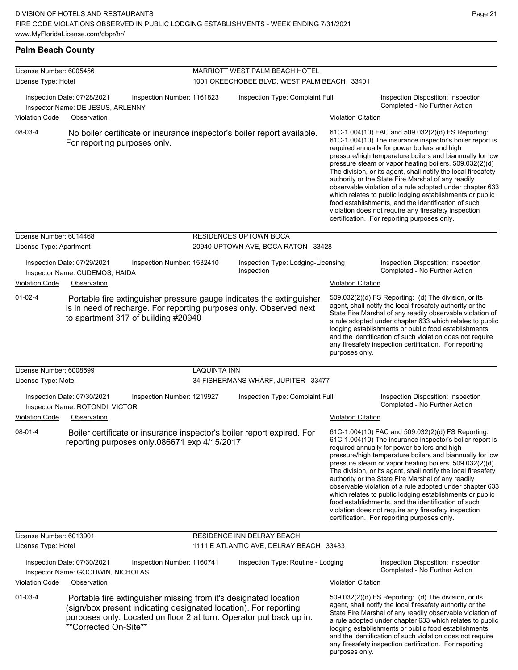## **Palm Beach County**

| License Number: 6005456 |                                                                                                                                                                                                                                      | <b>MARRIOTT WEST PALM BEACH HOTEL</b> |                                                  |                           |                                                                                                                                                                                                                                                                                                                                                                                                                                                                                                                                                                                                                                                                                                  |  |  |
|-------------------------|--------------------------------------------------------------------------------------------------------------------------------------------------------------------------------------------------------------------------------------|---------------------------------------|--------------------------------------------------|---------------------------|--------------------------------------------------------------------------------------------------------------------------------------------------------------------------------------------------------------------------------------------------------------------------------------------------------------------------------------------------------------------------------------------------------------------------------------------------------------------------------------------------------------------------------------------------------------------------------------------------------------------------------------------------------------------------------------------------|--|--|
| License Type: Hotel     |                                                                                                                                                                                                                                      |                                       | 1001 OKEECHOBEE BLVD, WEST PALM BEACH 33401      |                           |                                                                                                                                                                                                                                                                                                                                                                                                                                                                                                                                                                                                                                                                                                  |  |  |
|                         | Inspection Date: 07/28/2021<br>Inspection Number: 1161823<br>Inspector Name: DE JESUS, ARLENNY                                                                                                                                       |                                       | Inspection Type: Complaint Full                  |                           | Inspection Disposition: Inspection<br>Completed - No Further Action                                                                                                                                                                                                                                                                                                                                                                                                                                                                                                                                                                                                                              |  |  |
| <b>Violation Code</b>   | Observation                                                                                                                                                                                                                          |                                       |                                                  | <b>Violation Citation</b> |                                                                                                                                                                                                                                                                                                                                                                                                                                                                                                                                                                                                                                                                                                  |  |  |
| 08-03-4                 | No boiler certificate or insurance inspector's boiler report available.<br>For reporting purposes only.                                                                                                                              |                                       |                                                  |                           | 61C-1.004(10) FAC and 509.032(2)(d) FS Reporting:<br>61C-1.004(10) The insurance inspector's boiler report is<br>required annually for power boilers and high<br>pressure/high temperature boilers and biannually for low<br>pressure steam or vapor heating boilers. 509.032(2)(d)<br>The division, or its agent, shall notify the local firesafety<br>authority or the State Fire Marshal of any readily<br>observable violation of a rule adopted under chapter 633<br>which relates to public lodging establishments or public<br>food establishments, and the identification of such<br>violation does not require any firesafety inspection<br>certification. For reporting purposes only. |  |  |
| License Number: 6014468 |                                                                                                                                                                                                                                      |                                       | <b>RESIDENCES UPTOWN BOCA</b>                    |                           |                                                                                                                                                                                                                                                                                                                                                                                                                                                                                                                                                                                                                                                                                                  |  |  |
| License Type: Apartment |                                                                                                                                                                                                                                      |                                       | 20940 UPTOWN AVE, BOCA RATON 33428               |                           |                                                                                                                                                                                                                                                                                                                                                                                                                                                                                                                                                                                                                                                                                                  |  |  |
|                         | Inspection Date: 07/29/2021<br>Inspection Number: 1532410<br>Inspector Name: CUDEMOS, HAIDA                                                                                                                                          |                                       | Inspection Type: Lodging-Licensing<br>Inspection |                           | Inspection Disposition: Inspection<br>Completed - No Further Action                                                                                                                                                                                                                                                                                                                                                                                                                                                                                                                                                                                                                              |  |  |
| <b>Violation Code</b>   | Observation                                                                                                                                                                                                                          |                                       |                                                  | <b>Violation Citation</b> |                                                                                                                                                                                                                                                                                                                                                                                                                                                                                                                                                                                                                                                                                                  |  |  |
| $01 - 02 - 4$           | Portable fire extinguisher pressure gauge indicates the extinguisher<br>is in need of recharge. For reporting purposes only. Observed next<br>to apartment 317 of building #20940                                                    |                                       |                                                  | purposes only.            | 509.032(2)(d) FS Reporting: (d) The division, or its<br>agent, shall notify the local firesafety authority or the<br>State Fire Marshal of any readily observable violation of<br>a rule adopted under chapter 633 which relates to public<br>lodging establishments or public food establishments,<br>and the identification of such violation does not require<br>any firesafety inspection certification. For reporting                                                                                                                                                                                                                                                                       |  |  |
| License Number: 6008599 |                                                                                                                                                                                                                                      | <b>LAQUINTA INN</b>                   |                                                  |                           |                                                                                                                                                                                                                                                                                                                                                                                                                                                                                                                                                                                                                                                                                                  |  |  |
| License Type: Motel     |                                                                                                                                                                                                                                      |                                       | 34 FISHERMANS WHARF, JUPITER 33477               |                           |                                                                                                                                                                                                                                                                                                                                                                                                                                                                                                                                                                                                                                                                                                  |  |  |
|                         | Inspection Date: 07/30/2021<br>Inspection Number: 1219927<br>Inspector Name: ROTONDI, VICTOR                                                                                                                                         |                                       | Inspection Type: Complaint Full                  |                           | Inspection Disposition: Inspection<br>Completed - No Further Action                                                                                                                                                                                                                                                                                                                                                                                                                                                                                                                                                                                                                              |  |  |
| <b>Violation Code</b>   | Observation                                                                                                                                                                                                                          |                                       |                                                  | <b>Violation Citation</b> |                                                                                                                                                                                                                                                                                                                                                                                                                                                                                                                                                                                                                                                                                                  |  |  |
| 08-01-4                 | Boiler certificate or insurance inspector's boiler report expired. For<br>reporting purposes only 086671 exp 4/15/2017                                                                                                               |                                       |                                                  |                           | 61C-1.004(10) FAC and 509.032(2)(d) FS Reporting:<br>61C-1.004(10) The insurance inspector's boiler report is<br>required annually for power boilers and high<br>pressure/high temperature boilers and biannually for low<br>pressure steam or vapor heating boilers. 509.032(2)(d)<br>The division, or its agent, shall notify the local firesafety<br>authority or the State Fire Marshal of any readily<br>observable violation of a rule adopted under chapter 633<br>which relates to public lodging establishments or public<br>food establishments, and the identification of such<br>violation does not require any firesafety inspection<br>certification. For reporting purposes only. |  |  |
| License Number: 6013901 |                                                                                                                                                                                                                                      |                                       | RESIDENCE INN DELRAY BEACH                       |                           |                                                                                                                                                                                                                                                                                                                                                                                                                                                                                                                                                                                                                                                                                                  |  |  |
| License Type: Hotel     |                                                                                                                                                                                                                                      |                                       | 1111 E ATLANTIC AVE, DELRAY BEACH 33483          |                           |                                                                                                                                                                                                                                                                                                                                                                                                                                                                                                                                                                                                                                                                                                  |  |  |
|                         | Inspection Date: 07/30/2021<br>Inspection Number: 1160741<br>Inspector Name: GOODWIN, NICHOLAS                                                                                                                                       |                                       | Inspection Type: Routine - Lodging               |                           | Inspection Disposition: Inspection<br>Completed - No Further Action                                                                                                                                                                                                                                                                                                                                                                                                                                                                                                                                                                                                                              |  |  |
| <b>Violation Code</b>   | Observation                                                                                                                                                                                                                          |                                       |                                                  | <b>Violation Citation</b> |                                                                                                                                                                                                                                                                                                                                                                                                                                                                                                                                                                                                                                                                                                  |  |  |
| $01 - 03 - 4$           | Portable fire extinguisher missing from it's designated location<br>(sign/box present indicating designated location). For reporting<br>purposes only. Located on floor 2 at turn. Operator put back up in.<br>**Corrected On-Site** |                                       |                                                  |                           | 509.032(2)(d) FS Reporting: (d) The division, or its<br>agent, shall notify the local firesafety authority or the<br>State Fire Marshal of any readily observable violation of<br>a rule adopted under chapter 633 which relates to public<br>lodging establishments or public food establishments,<br>and the identification of such violation does not require<br>any firesafety inspection certification. For reporting                                                                                                                                                                                                                                                                       |  |  |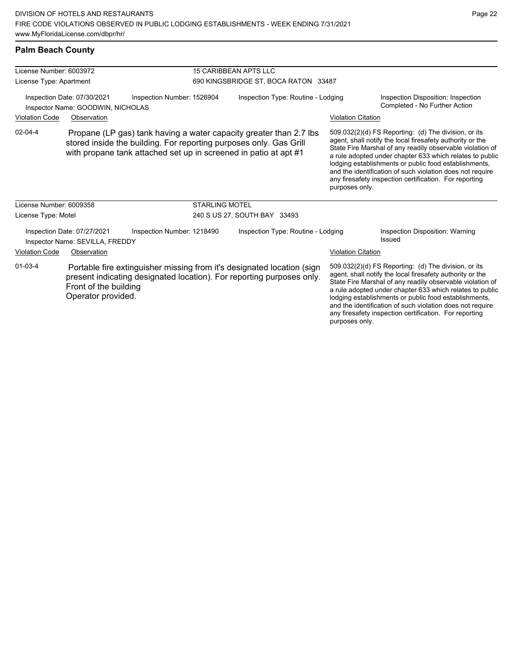# **Palm Beach County**

| License Number: 6003972                                                                                                                                                                                                        |                                                                  |                                                                                                                                                 | <b>15 CARIBBEAN APTS LLC</b>                                                                                                                                                                                                                                                                                                                                                                                                                 |                           |                                                                                                                                                                                                                                                                                                                                                                                                                            |  |
|--------------------------------------------------------------------------------------------------------------------------------------------------------------------------------------------------------------------------------|------------------------------------------------------------------|-------------------------------------------------------------------------------------------------------------------------------------------------|----------------------------------------------------------------------------------------------------------------------------------------------------------------------------------------------------------------------------------------------------------------------------------------------------------------------------------------------------------------------------------------------------------------------------------------------|---------------------------|----------------------------------------------------------------------------------------------------------------------------------------------------------------------------------------------------------------------------------------------------------------------------------------------------------------------------------------------------------------------------------------------------------------------------|--|
| License Type: Apartment                                                                                                                                                                                                        |                                                                  |                                                                                                                                                 | 690 KINGSBRIDGE ST, BOCA RATON 33487                                                                                                                                                                                                                                                                                                                                                                                                         |                           |                                                                                                                                                                                                                                                                                                                                                                                                                            |  |
|                                                                                                                                                                                                                                | Inspection Date: 07/30/2021<br>Inspector Name: GOODWIN, NICHOLAS | Inspection Number: 1526904                                                                                                                      | Inspection Type: Routine - Lodging                                                                                                                                                                                                                                                                                                                                                                                                           |                           | Inspection Disposition: Inspection<br>Completed - No Further Action                                                                                                                                                                                                                                                                                                                                                        |  |
| <b>Violation Code</b>                                                                                                                                                                                                          | Observation                                                      |                                                                                                                                                 |                                                                                                                                                                                                                                                                                                                                                                                                                                              | <b>Violation Citation</b> |                                                                                                                                                                                                                                                                                                                                                                                                                            |  |
| $02 - 04 - 4$<br>Propane (LP gas) tank having a water capacity greater than 2.7 lbs.<br>stored inside the building. For reporting purposes only. Gas Grill<br>with propane tank attached set up in screened in patio at apt #1 |                                                                  |                                                                                                                                                 | 509.032(2)(d) FS Reporting: (d) The division, or its<br>agent, shall notify the local firesafety authority or the<br>State Fire Marshal of any readily observable violation of<br>a rule adopted under chapter 633 which relates to public<br>lodging establishments or public food establishments,<br>and the identification of such violation does not require<br>any firesafety inspection certification. For reporting<br>purposes only. |                           |                                                                                                                                                                                                                                                                                                                                                                                                                            |  |
| License Number: 6009358                                                                                                                                                                                                        |                                                                  | <b>STARLING MOTEL</b>                                                                                                                           |                                                                                                                                                                                                                                                                                                                                                                                                                                              |                           |                                                                                                                                                                                                                                                                                                                                                                                                                            |  |
| License Type: Motel                                                                                                                                                                                                            |                                                                  |                                                                                                                                                 | 240 S US 27, SOUTH BAY 33493                                                                                                                                                                                                                                                                                                                                                                                                                 |                           |                                                                                                                                                                                                                                                                                                                                                                                                                            |  |
|                                                                                                                                                                                                                                | Inspection Date: 07/27/2021<br>Inspector Name: SEVILLA, FREDDY   | Inspection Number: 1218490                                                                                                                      | Inspection Type: Routine - Lodging                                                                                                                                                                                                                                                                                                                                                                                                           |                           | Inspection Disposition: Warning<br>Issued                                                                                                                                                                                                                                                                                                                                                                                  |  |
| <b>Violation Code</b>                                                                                                                                                                                                          | Observation                                                      |                                                                                                                                                 |                                                                                                                                                                                                                                                                                                                                                                                                                                              | <b>Violation Citation</b> |                                                                                                                                                                                                                                                                                                                                                                                                                            |  |
| $01 - 03 - 4$                                                                                                                                                                                                                  | Front of the building<br>Operator provided.                      | Portable fire extinguisher missing from it's designated location (sign<br>present indicating designated location). For reporting purposes only. |                                                                                                                                                                                                                                                                                                                                                                                                                                              |                           | 509.032(2)(d) FS Reporting: (d) The division, or its<br>agent, shall notify the local firesafety authority or the<br>State Fire Marshal of any readily observable violation of<br>a rule adopted under chapter 633 which relates to public<br>lodging establishments or public food establishments,<br>and the identification of such violation does not require<br>any firesafety inspection certification. For reporting |  |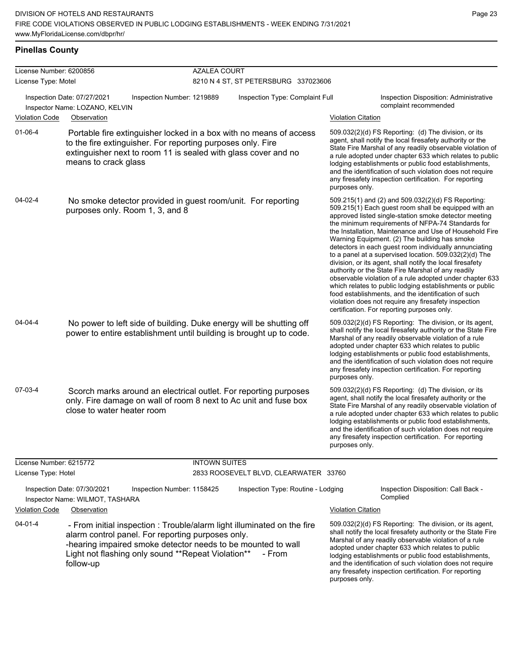any firesafety inspection certification. For reporting

purposes only.

## **Pinellas County**

| License Number: 6200856 |                                                                                                                                                                                                                                                                 | <b>AZALEA COURT</b>  |                                       |                                                                                                                                                                                                                                                                                                                                                                                                                                                                                                                                                                                                                                                                                                                                                                                                                                                                   |  |  |  |
|-------------------------|-----------------------------------------------------------------------------------------------------------------------------------------------------------------------------------------------------------------------------------------------------------------|----------------------|---------------------------------------|-------------------------------------------------------------------------------------------------------------------------------------------------------------------------------------------------------------------------------------------------------------------------------------------------------------------------------------------------------------------------------------------------------------------------------------------------------------------------------------------------------------------------------------------------------------------------------------------------------------------------------------------------------------------------------------------------------------------------------------------------------------------------------------------------------------------------------------------------------------------|--|--|--|
| License Type: Motel     |                                                                                                                                                                                                                                                                 |                      | 8210 N 4 ST, ST PETERSBURG 337023606  |                                                                                                                                                                                                                                                                                                                                                                                                                                                                                                                                                                                                                                                                                                                                                                                                                                                                   |  |  |  |
|                         | Inspection Date: 07/27/2021<br>Inspection Number: 1219889<br>Inspector Name: LOZANO, KELVIN                                                                                                                                                                     |                      | Inspection Type: Complaint Full       | Inspection Disposition: Administrative<br>complaint recommended                                                                                                                                                                                                                                                                                                                                                                                                                                                                                                                                                                                                                                                                                                                                                                                                   |  |  |  |
| <b>Violation Code</b>   | Observation                                                                                                                                                                                                                                                     |                      |                                       | <b>Violation Citation</b>                                                                                                                                                                                                                                                                                                                                                                                                                                                                                                                                                                                                                                                                                                                                                                                                                                         |  |  |  |
| 01-06-4                 | Portable fire extinguisher locked in a box with no means of access<br>to the fire extinguisher. For reporting purposes only. Fire<br>extinguisher next to room 11 is sealed with glass cover and no<br>means to crack glass                                     |                      |                                       | 509.032(2)(d) FS Reporting: (d) The division, or its<br>agent, shall notify the local firesafety authority or the<br>State Fire Marshal of any readily observable violation of<br>a rule adopted under chapter 633 which relates to public<br>lodging establishments or public food establishments,<br>and the identification of such violation does not require<br>any firesafety inspection certification. For reporting<br>purposes only.                                                                                                                                                                                                                                                                                                                                                                                                                      |  |  |  |
| 04-02-4                 | No smoke detector provided in guest room/unit. For reporting<br>purposes only. Room 1, 3, and 8                                                                                                                                                                 |                      |                                       | 509.215(1) and (2) and 509.032(2)(d) FS Reporting:<br>509.215(1) Each guest room shall be equipped with an<br>approved listed single-station smoke detector meeting<br>the minimum requirements of NFPA-74 Standards for<br>the Installation, Maintenance and Use of Household Fire<br>Warning Equipment. (2) The building has smoke<br>detectors in each guest room individually annunciating<br>to a panel at a supervised location. 509.032(2)(d) The<br>division, or its agent, shall notify the local firesafety<br>authority or the State Fire Marshal of any readily<br>observable violation of a rule adopted under chapter 633<br>which relates to public lodging establishments or public<br>food establishments, and the identification of such<br>violation does not require any firesafety inspection<br>certification. For reporting purposes only. |  |  |  |
| $04 - 04 - 4$           | No power to left side of building. Duke energy will be shutting off<br>power to entire establishment until building is brought up to code.                                                                                                                      |                      |                                       | 509.032(2)(d) FS Reporting: The division, or its agent,<br>shall notify the local firesafety authority or the State Fire<br>Marshal of any readily observable violation of a rule<br>adopted under chapter 633 which relates to public<br>lodging establishments or public food establishments,<br>and the identification of such violation does not require<br>any firesafety inspection certification. For reporting<br>purposes only.                                                                                                                                                                                                                                                                                                                                                                                                                          |  |  |  |
| 07-03-4                 | Scorch marks around an electrical outlet. For reporting purposes<br>only. Fire damage on wall of room 8 next to Ac unit and fuse box<br>close to water heater room                                                                                              |                      |                                       | 509.032(2)(d) FS Reporting: (d) The division, or its<br>agent, shall notify the local firesafety authority or the<br>State Fire Marshal of any readily observable violation of<br>a rule adopted under chapter 633 which relates to public<br>lodging establishments or public food establishments,<br>and the identification of such violation does not require<br>any firesafety inspection certification. For reporting<br>purposes only.                                                                                                                                                                                                                                                                                                                                                                                                                      |  |  |  |
| License Number: 6215772 |                                                                                                                                                                                                                                                                 | <b>INTOWN SUITES</b> |                                       |                                                                                                                                                                                                                                                                                                                                                                                                                                                                                                                                                                                                                                                                                                                                                                                                                                                                   |  |  |  |
| License Type: Hotel     |                                                                                                                                                                                                                                                                 |                      | 2833 ROOSEVELT BLVD, CLEARWATER 33760 |                                                                                                                                                                                                                                                                                                                                                                                                                                                                                                                                                                                                                                                                                                                                                                                                                                                                   |  |  |  |
|                         | Inspection Date: 07/30/2021<br>Inspection Number: 1158425<br>Inspector Name: WILMOT, TASHARA                                                                                                                                                                    |                      | Inspection Type: Routine - Lodging    | Inspection Disposition: Call Back -<br>Complied                                                                                                                                                                                                                                                                                                                                                                                                                                                                                                                                                                                                                                                                                                                                                                                                                   |  |  |  |
| <b>Violation Code</b>   | Observation                                                                                                                                                                                                                                                     |                      |                                       | <b>Violation Citation</b>                                                                                                                                                                                                                                                                                                                                                                                                                                                                                                                                                                                                                                                                                                                                                                                                                                         |  |  |  |
| $04 - 01 - 4$           | - From initial inspection : Trouble/alarm light illuminated on the fire<br>alarm control panel. For reporting purposes only.<br>-hearing impaired smoke detector needs to be mounted to wall<br>Light not flashing only sound **Repeat Violation**<br>follow-up |                      | - From                                | 509.032(2)(d) FS Reporting: The division, or its agent,<br>shall notify the local firesafety authority or the State Fire<br>Marshal of any readily observable violation of a rule<br>adopted under chapter 633 which relates to public<br>lodging establishments or public food establishments,<br>and the identification of such violation does not require                                                                                                                                                                                                                                                                                                                                                                                                                                                                                                      |  |  |  |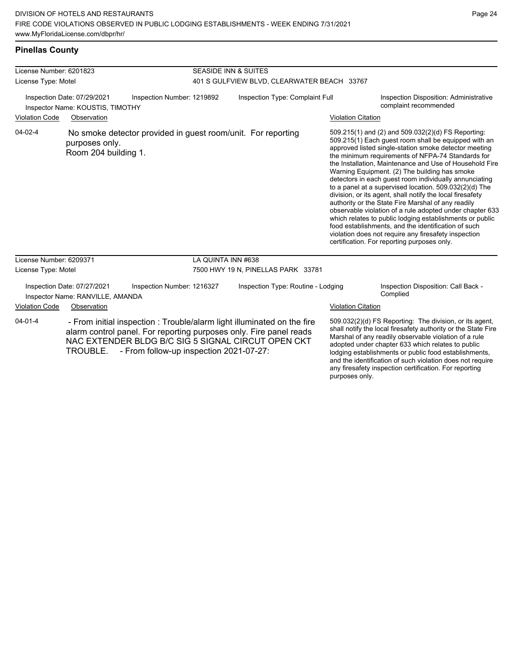# **Pinellas County**

| License Number: 6201823                                         |                                                                 |                                                                                                                                                                                                                                                | <b>SEASIDE INN &amp; SUITES</b>             |                                    |                           |                                                                                                                                                                                                                                                                                                                                                                                                                                                                                                                                                                                                                                                                                                                                                                                                                                                                   |  |
|-----------------------------------------------------------------|-----------------------------------------------------------------|------------------------------------------------------------------------------------------------------------------------------------------------------------------------------------------------------------------------------------------------|---------------------------------------------|------------------------------------|---------------------------|-------------------------------------------------------------------------------------------------------------------------------------------------------------------------------------------------------------------------------------------------------------------------------------------------------------------------------------------------------------------------------------------------------------------------------------------------------------------------------------------------------------------------------------------------------------------------------------------------------------------------------------------------------------------------------------------------------------------------------------------------------------------------------------------------------------------------------------------------------------------|--|
| License Type: Motel                                             |                                                                 |                                                                                                                                                                                                                                                | 401 S GULFVIEW BLVD, CLEARWATER BEACH 33767 |                                    |                           |                                                                                                                                                                                                                                                                                                                                                                                                                                                                                                                                                                                                                                                                                                                                                                                                                                                                   |  |
| Inspection Date: 07/29/2021<br>Inspector Name: KOUSTIS, TIMOTHY |                                                                 | Inspection Number: 1219892                                                                                                                                                                                                                     | Inspection Type: Complaint Full             |                                    |                           | Inspection Disposition: Administrative<br>complaint recommended                                                                                                                                                                                                                                                                                                                                                                                                                                                                                                                                                                                                                                                                                                                                                                                                   |  |
| <b>Violation Code</b>                                           | Observation                                                     |                                                                                                                                                                                                                                                |                                             |                                    | <b>Violation Citation</b> |                                                                                                                                                                                                                                                                                                                                                                                                                                                                                                                                                                                                                                                                                                                                                                                                                                                                   |  |
| 04-02-4                                                         | purposes only.<br>Room 204 building 1.                          | No smoke detector provided in guest room/unit. For reporting                                                                                                                                                                                   |                                             |                                    |                           | 509.215(1) and (2) and 509.032(2)(d) FS Reporting:<br>509.215(1) Each guest room shall be equipped with an<br>approved listed single-station smoke detector meeting<br>the minimum requirements of NFPA-74 Standards for<br>the Installation, Maintenance and Use of Household Fire<br>Warning Equipment. (2) The building has smoke<br>detectors in each quest room individually annunciating<br>to a panel at a supervised location. 509.032(2)(d) The<br>division, or its agent, shall notify the local firesafety<br>authority or the State Fire Marshal of any readily<br>observable violation of a rule adopted under chapter 633<br>which relates to public lodging establishments or public<br>food establishments, and the identification of such<br>violation does not require any firesafety inspection<br>certification. For reporting purposes only. |  |
| License Number: 6209371                                         |                                                                 |                                                                                                                                                                                                                                                | LA QUINTA INN #638                          |                                    |                           |                                                                                                                                                                                                                                                                                                                                                                                                                                                                                                                                                                                                                                                                                                                                                                                                                                                                   |  |
| License Type: Motel                                             |                                                                 |                                                                                                                                                                                                                                                |                                             | 7500 HWY 19 N, PINELLAS PARK 33781 |                           |                                                                                                                                                                                                                                                                                                                                                                                                                                                                                                                                                                                                                                                                                                                                                                                                                                                                   |  |
|                                                                 | Inspection Date: 07/27/2021<br>Inspector Name: RANVILLE, AMANDA | Inspection Number: 1216327                                                                                                                                                                                                                     |                                             | Inspection Type: Routine - Lodging |                           | Inspection Disposition: Call Back -<br>Complied                                                                                                                                                                                                                                                                                                                                                                                                                                                                                                                                                                                                                                                                                                                                                                                                                   |  |
| <b>Violation Code</b>                                           | Observation                                                     |                                                                                                                                                                                                                                                |                                             |                                    | <b>Violation Citation</b> |                                                                                                                                                                                                                                                                                                                                                                                                                                                                                                                                                                                                                                                                                                                                                                                                                                                                   |  |
| $04 - 01 - 4$                                                   | <b>TROUBLE.</b>                                                 | - From initial inspection : Trouble/alarm light illuminated on the fire<br>alarm control panel. For reporting purposes only. Fire panel reads<br>NAC EXTENDER BLDG B/C SIG 5 SIGNAL CIRCUT OPEN CKT<br>- From follow-up inspection 2021-07-27: |                                             |                                    | purposes only.            | 509.032(2)(d) FS Reporting: The division, or its agent,<br>shall notify the local firesafety authority or the State Fire<br>Marshal of any readily observable violation of a rule<br>adopted under chapter 633 which relates to public<br>lodging establishments or public food establishments,<br>and the identification of such violation does not require<br>any firesafety inspection certification. For reporting                                                                                                                                                                                                                                                                                                                                                                                                                                            |  |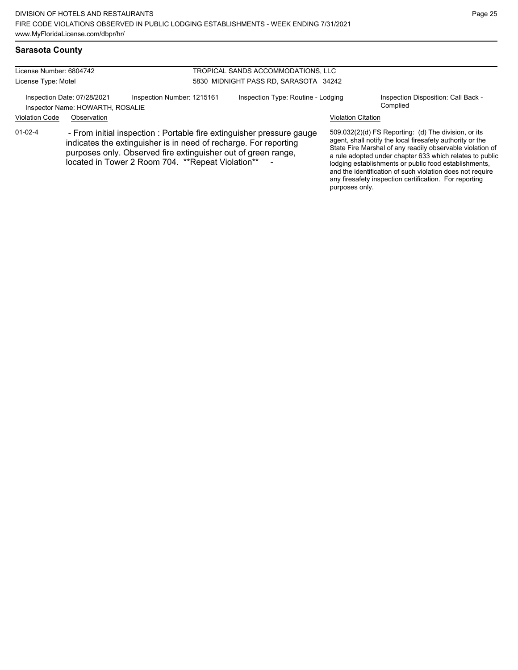## **Sarasota County**

| License Number: 6804742                                         |                                                                                                                                                                                                                                                                  |                            | TROPICAL SANDS ACCOMMODATIONS, LLC    |                                                                                                                                                                                                                                                                                                                                                                                                                            |                                                 |  |  |
|-----------------------------------------------------------------|------------------------------------------------------------------------------------------------------------------------------------------------------------------------------------------------------------------------------------------------------------------|----------------------------|---------------------------------------|----------------------------------------------------------------------------------------------------------------------------------------------------------------------------------------------------------------------------------------------------------------------------------------------------------------------------------------------------------------------------------------------------------------------------|-------------------------------------------------|--|--|
| License Type: Motel                                             |                                                                                                                                                                                                                                                                  |                            | 5830 MIDNIGHT PASS RD, SARASOTA 34242 |                                                                                                                                                                                                                                                                                                                                                                                                                            |                                                 |  |  |
| Inspection Date: 07/28/2021<br>Inspector Name: HOWARTH, ROSALIE |                                                                                                                                                                                                                                                                  | Inspection Number: 1215161 | Inspection Type: Routine - Lodging    |                                                                                                                                                                                                                                                                                                                                                                                                                            | Inspection Disposition: Call Back -<br>Complied |  |  |
| <b>Violation Code</b>                                           | Observation                                                                                                                                                                                                                                                      |                            |                                       | <b>Violation Citation</b>                                                                                                                                                                                                                                                                                                                                                                                                  |                                                 |  |  |
| $01 - 02 - 4$                                                   | - From initial inspection : Portable fire extinguisher pressure gauge<br>indicates the extinguisher is in need of recharge. For reporting<br>purposes only. Observed fire extinguisher out of green range,<br>located in Tower 2 Room 704. ** Repeat Violation** |                            |                                       | 509.032(2)(d) FS Reporting: (d) The division, or its<br>agent, shall notify the local firesafety authority or the<br>State Fire Marshal of any readily observable violation of<br>a rule adopted under chapter 633 which relates to public<br>lodging establishments or public food establishments,<br>and the identification of such violation does not require<br>any firesafety inspection certification. For reporting |                                                 |  |  |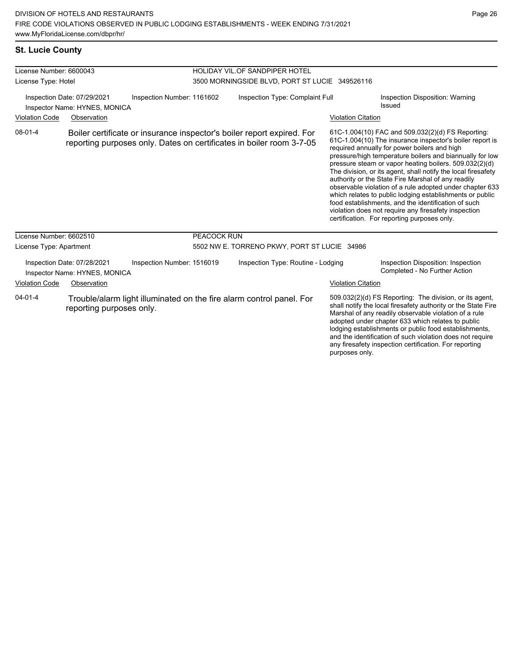# **St. Lucie County**

| License Number: 6600043                                                                                                            |                                                              |                                                                      |                                                | HOLIDAY VIL.OF SANDPIPER HOTEL                                                                                                                                                                                                                                                                                                                                                                                                           |                                           |                                                                                                                                                                                                                                                                                                                                                                                                                                                                                                                                                                                                                                                                                                  |  |
|------------------------------------------------------------------------------------------------------------------------------------|--------------------------------------------------------------|----------------------------------------------------------------------|------------------------------------------------|------------------------------------------------------------------------------------------------------------------------------------------------------------------------------------------------------------------------------------------------------------------------------------------------------------------------------------------------------------------------------------------------------------------------------------------|-------------------------------------------|--------------------------------------------------------------------------------------------------------------------------------------------------------------------------------------------------------------------------------------------------------------------------------------------------------------------------------------------------------------------------------------------------------------------------------------------------------------------------------------------------------------------------------------------------------------------------------------------------------------------------------------------------------------------------------------------------|--|
| License Type: Hotel                                                                                                                |                                                              |                                                                      | 3500 MORNINGSIDE BLVD, PORT ST LUCIE 349526116 |                                                                                                                                                                                                                                                                                                                                                                                                                                          |                                           |                                                                                                                                                                                                                                                                                                                                                                                                                                                                                                                                                                                                                                                                                                  |  |
| Inspection Date: 07/29/2021<br>Inspection Number: 1161602<br>Inspector Name: HYNES, MONICA<br><b>Violation Code</b><br>Observation |                                                              | Inspection Type: Complaint Full                                      |                                                | <b>Violation Citation</b>                                                                                                                                                                                                                                                                                                                                                                                                                | Inspection Disposition: Warning<br>Issued |                                                                                                                                                                                                                                                                                                                                                                                                                                                                                                                                                                                                                                                                                                  |  |
| $08 - 01 - 4$                                                                                                                      |                                                              |                                                                      |                                                | Boiler certificate or insurance inspector's boiler report expired. For<br>reporting purposes only. Dates on certificates in boiler room 3-7-05                                                                                                                                                                                                                                                                                           |                                           | 61C-1.004(10) FAC and 509.032(2)(d) FS Reporting:<br>61C-1.004(10) The insurance inspector's boiler report is<br>required annually for power boilers and high<br>pressure/high temperature boilers and biannually for low<br>pressure steam or vapor heating boilers. 509.032(2)(d)<br>The division, or its agent, shall notify the local firesafety<br>authority or the State Fire Marshal of any readily<br>observable violation of a rule adopted under chapter 633<br>which relates to public lodging establishments or public<br>food establishments, and the identification of such<br>violation does not require any firesafety inspection<br>certification. For reporting purposes only. |  |
| License Number: 6602510                                                                                                            |                                                              |                                                                      | PEACOCK RUN                                    |                                                                                                                                                                                                                                                                                                                                                                                                                                          |                                           |                                                                                                                                                                                                                                                                                                                                                                                                                                                                                                                                                                                                                                                                                                  |  |
| License Type: Apartment                                                                                                            |                                                              | 5502 NW E. TORRENO PKWY, PORT ST LUCIE 34986                         |                                                |                                                                                                                                                                                                                                                                                                                                                                                                                                          |                                           |                                                                                                                                                                                                                                                                                                                                                                                                                                                                                                                                                                                                                                                                                                  |  |
|                                                                                                                                    | Inspection Date: 07/28/2021<br>Inspector Name: HYNES, MONICA | Inspection Number: 1516019                                           |                                                | Inspection Type: Routine - Lodging                                                                                                                                                                                                                                                                                                                                                                                                       |                                           | Inspection Disposition: Inspection<br>Completed - No Further Action                                                                                                                                                                                                                                                                                                                                                                                                                                                                                                                                                                                                                              |  |
| Violation Code<br>Observation                                                                                                      |                                                              |                                                                      |                                                |                                                                                                                                                                                                                                                                                                                                                                                                                                          | <b>Violation Citation</b>                 |                                                                                                                                                                                                                                                                                                                                                                                                                                                                                                                                                                                                                                                                                                  |  |
| $04 - 01 - 4$<br>reporting purposes only.                                                                                          |                                                              | Trouble/alarm light illuminated on the fire alarm control panel. For |                                                | 509.032(2)(d) FS Reporting: The division, or its agent,<br>shall notify the local firesafety authority or the State Fire<br>Marshal of any readily observable violation of a rule<br>adopted under chapter 633 which relates to public<br>lodging establishments or public food establishments,<br>and the identification of such violation does not require<br>any firesafety inspection certification. For reporting<br>purposes only. |                                           |                                                                                                                                                                                                                                                                                                                                                                                                                                                                                                                                                                                                                                                                                                  |  |